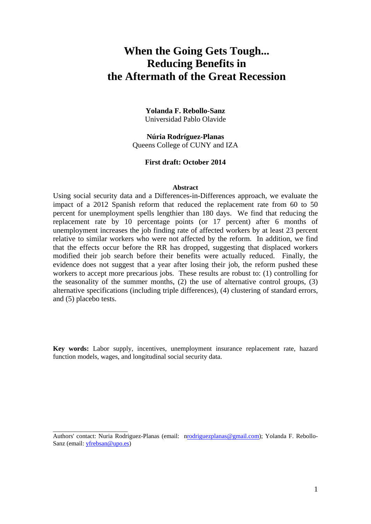# **When the Going Gets Tough... Reducing Benefits in the Aftermath of the Great Recession**

**Yolanda F. Rebollo-Sanz**  Universidad Pablo Olavide

**Núria Rodríguez-Planas**  Queens College of CUNY and IZA

#### **First draft: October 2014**

#### **Abstract**

Using social security data and a Differences-in-Differences approach, we evaluate the impact of a 2012 Spanish reform that reduced the replacement rate from 60 to 50 percent for unemployment spells lengthier than 180 days. We find that reducing the replacement rate by 10 percentage points (or 17 percent) after 6 months of unemployment increases the job finding rate of affected workers by at least 23 percent relative to similar workers who were not affected by the reform. In addition, we find that the effects occur before the RR has dropped, suggesting that displaced workers modified their job search before their benefits were actually reduced. Finally, the evidence does not suggest that a year after losing their job, the reform pushed these workers to accept more precarious jobs. These results are robust to: (1) controlling for the seasonality of the summer months, (2) the use of alternative control groups, (3) alternative specifications (including triple differences), (4) clustering of standard errors, and (5) placebo tests.

**Key words:** Labor supply, incentives, unemployment insurance replacement rate, hazard function models, wages, and longitudinal social security data.

\_\_\_\_\_\_\_\_\_\_\_\_\_\_\_\_\_\_\_\_\_\_\_\_

Authors' contact: Nuria Rodriguez-Planas (email: nrodriguezplanas@gmail.com); Yolanda F. Rebollo-Sanz (email: yfrebsan@upo.es)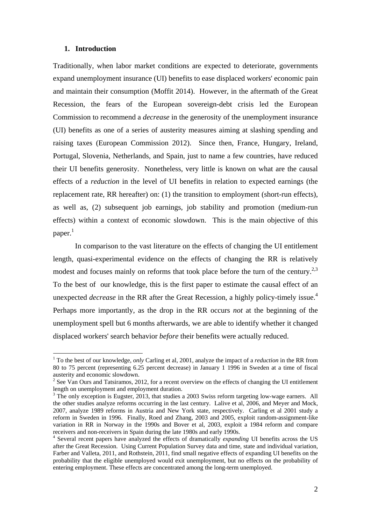#### **1. Introduction**

1

Traditionally, when labor market conditions are expected to deteriorate, governments expand unemployment insurance (UI) benefits to ease displaced workers' economic pain and maintain their consumption (Moffit 2014). However, in the aftermath of the Great Recession, the fears of the European sovereign-debt crisis led the European Commission to recommend a *decrease* in the generosity of the unemployment insurance (UI) benefits as one of a series of austerity measures aiming at slashing spending and raising taxes (European Commission 2012). Since then, France, Hungary, Ireland, Portugal, Slovenia, Netherlands, and Spain, just to name a few countries, have reduced their UI benefits generosity. Nonetheless, very little is known on what are the causal effects of a *reduction* in the level of UI benefits in relation to expected earnings (the replacement rate, RR hereafter) on: (1) the transition to employment (short-run effects), as well as, (2) subsequent job earnings, job stability and promotion (medium-run effects) within a context of economic slowdown. This is the main objective of this paper. $^1$ 

 In comparison to the vast literature on the effects of changing the UI entitlement length, quasi-experimental evidence on the effects of changing the RR is relatively modest and focuses mainly on reforms that took place before the turn of the century.<sup>2,3</sup> To the best of our knowledge, this is the first paper to estimate the causal effect of an unexpected *decrease* in the RR after the Great Recession, a highly policy-timely issue.<sup>4</sup> Perhaps more importantly, as the drop in the RR occurs *not* at the beginning of the unemployment spell but 6 months afterwards, we are able to identify whether it changed displaced workers' search behavior *before* their benefits were actually reduced.

<sup>&</sup>lt;sup>1</sup> To the best of our knowledge, *only* Carling et al, 2001, analyze the impact of a *reduction* in the RR from 80 to 75 percent (representing 6.25 percent decrease) in January 1 1996 in Sweden at a time of fiscal austerity and economic slowdown.

 $2^2$  See Van Ours and Tatsiramos, 2012, for a recent overview on the effects of changing the UI entitlement length on unemployment and employment duration.

<sup>&</sup>lt;sup>3</sup> The only exception is Eugster, 2013, that studies a 2003 Swiss reform targeting low-wage earners. All the other studies analyze reforms occurring in the last century. Lalive et al, 2006, and Meyer and Mock, 2007, analyze 1989 reforms in Austria and New York state, respectively. Carling et al 2001 study a reform in Sweden in 1996. Finally, Roed and Zhang, 2003 and 2005, exploit random-assignment-like variation in RR in Norway in the 1990s and Bover et al, 2003, exploit a 1984 reform and compare receivers and non-receivers in Spain during the late 1980s and early 1990s. 4

<sup>&</sup>lt;sup>4</sup> Several recent papers have analyzed the effects of dramatically *expanding* UI benefits across the US after the Great Recession. Using Current Population Survey data and time, state and individual variation, Farber and Valleta, 2011, and Rothstein, 2011, find small negative effects of expanding UI benefits on the probability that the eligible unemployed would exit unemployment, but no effects on the probability of entering employment. These effects are concentrated among the long-term unemployed.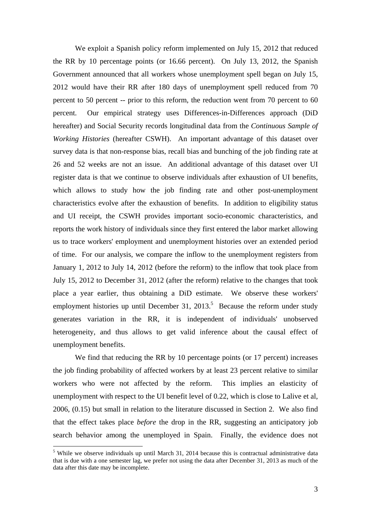We exploit a Spanish policy reform implemented on July 15, 2012 that reduced the RR by 10 percentage points (or 16.66 percent). On July 13, 2012, the Spanish Government announced that all workers whose unemployment spell began on July 15, 2012 would have their RR after 180 days of unemployment spell reduced from 70 percent to 50 percent -- prior to this reform, the reduction went from 70 percent to 60 percent. Our empirical strategy uses Differences-in-Differences approach (DiD hereafter) and Social Security records longitudinal data from the *Continuous Sample of Working Histories* (hereafter CSWH). An important advantage of this dataset over survey data is that non-response bias, recall bias and bunching of the job finding rate at 26 and 52 weeks are not an issue. An additional advantage of this dataset over UI register data is that we continue to observe individuals after exhaustion of UI benefits, which allows to study how the job finding rate and other post-unemployment characteristics evolve after the exhaustion of benefits. In addition to eligibility status and UI receipt, the CSWH provides important socio-economic characteristics, and reports the work history of individuals since they first entered the labor market allowing us to trace workers' employment and unemployment histories over an extended period of time. For our analysis, we compare the inflow to the unemployment registers from January 1, 2012 to July 14, 2012 (before the reform) to the inflow that took place from July 15, 2012 to December 31, 2012 (after the reform) relative to the changes that took place a year earlier, thus obtaining a DiD estimate. We observe these workers' employment histories up until December 31, 2013.<sup>5</sup> Because the reform under study generates variation in the RR, it is independent of individuals' unobserved heterogeneity, and thus allows to get valid inference about the causal effect of unemployment benefits.

We find that reducing the RR by 10 percentage points (or 17 percent) increases the job finding probability of affected workers by at least 23 percent relative to similar workers who were not affected by the reform. This implies an elasticity of unemployment with respect to the UI benefit level of 0.22, which is close to Lalive et al, 2006, (0.15) but small in relation to the literature discussed in Section 2. We also find that the effect takes place *before* the drop in the RR, suggesting an anticipatory job search behavior among the unemployed in Spain. Finally, the evidence does not

<sup>&</sup>lt;sup>5</sup> While we observe individuals up until March 31, 2014 because this is contractual administrative data that is due with a one semester lag, we prefer not using the data after December 31, 2013 as much of the data after this date may be incomplete.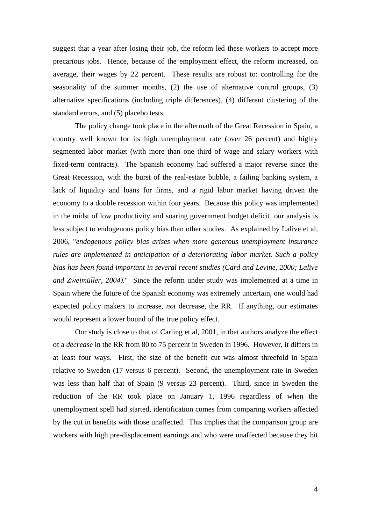suggest that a year after losing their job, the reform led these workers to accept more precarious jobs. Hence, because of the employment effect, the reform increased, on average, their wages by 22 percent. These results are robust to: controlling for the seasonality of the summer months, (2) the use of alternative control groups, (3) alternative specifications (including triple differences), (4) different clustering of the standard errors, and (5) placebo tests.

 The policy change took place in the aftermath of the Great Recession in Spain, a country well known for its high unemployment rate (over 26 percent) and highly segmented labor market (with more than one third of wage and salary workers with fixed-term contracts). The Spanish economy had suffered a major reverse since the Great Recession, with the burst of the real-estate bubble, a failing banking system, a lack of liquidity and loans for firms, and a rigid labor market having driven the economy to a double recession within four years. Because this policy was implemented in the midst of low productivity and soaring government budget deficit, our analysis is less subject to endogenous policy bias than other studies. As explained by Lalive et al, 2006, "*endogenous policy bias arises when more generous unemployment insurance rules are implemented in anticipation of a deteriorating labor market. Such a policy bias has been found important in several recent studies (Card and Levine, 2000; Lalive and Zweimüller, 2004).*" Since the reform under study was implemented at a time in Spain where the future of the Spanish economy was extremely uncertain, one would had expected policy makers to increase, *not* decrease, the RR. If anything, our estimates would represent a lower bound of the true policy effect.

Our study is close to that of Carling et al, 2001, in that authors analyze the effect of a *decrease* in the RR from 80 to 75 percent in Sweden in 1996. However, it differs in at least four ways. First, the size of the benefit cut was almost threefold in Spain relative to Sweden (17 versus 6 percent). Second, the unemployment rate in Sweden was less than half that of Spain (9 versus 23 percent). Third, since in Sweden the reduction of the RR took place on January 1, 1996 regardless of when the unemployment spell had started, identification comes from comparing workers affected by the cut in benefits with those unaffected. This implies that the comparison group are workers with high pre-displacement earnings and who were unaffected because they hit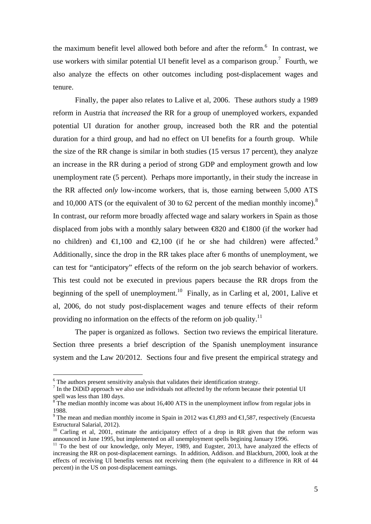the maximum benefit level allowed both before and after the reform.<sup>6</sup> In contrast, we use workers with similar potential UI benefit level as a comparison group.<sup>7</sup> Fourth, we also analyze the effects on other outcomes including post-displacement wages and tenure.

 Finally, the paper also relates to Lalive et al, 2006. These authors study a 1989 reform in Austria that *increased* the RR for a group of unemployed workers, expanded potential UI duration for another group, increased both the RR and the potential duration for a third group, and had no effect on UI benefits for a fourth group. While the size of the RR change is similar in both studies (15 versus 17 percent), they analyze an increase in the RR during a period of strong GDP and employment growth and low unemployment rate (5 percent). Perhaps more importantly, in their study the increase in the RR affected *only* low-income workers, that is, those earning between 5,000 ATS and 10,000 ATS (or the equivalent of 30 to 62 percent of the median monthly income). $8$ In contrast, our reform more broadly affected wage and salary workers in Spain as those displaced from jobs with a monthly salary between  $\infty$ 20 and  $\infty$ 1800 (if the worker had no children) and  $\in$ 1,100 and  $\in$ 2,100 (if he or she had children) were affected.<sup>9</sup> Additionally, since the drop in the RR takes place after 6 months of unemployment, we can test for "anticipatory" effects of the reform on the job search behavior of workers. This test could not be executed in previous papers because the RR drops from the beginning of the spell of unemployment.<sup>10</sup> Finally, as in Carling et al, 2001, Lalive et al, 2006, do not study post-displacement wages and tenure effects of their reform providing no information on the effects of the reform on job quality.<sup>11</sup>

 The paper is organized as follows. Section two reviews the empirical literature. Section three presents a brief description of the Spanish unemployment insurance system and the Law 20/2012. Sections four and five present the empirical strategy and

<u>.</u>

 $6$  The authors present sensitivity analysis that validates their identification strategy.

 $<sup>7</sup>$  In the DiDiD approach we also use individuals not affected by the reform because their potential UI</sup> spell was less than 180 days.<br><sup>8</sup> The median monthly income was about 16,400 ATS in the unemployment inflow from regular jobs in

<sup>1988.</sup> 

<sup>&</sup>lt;sup>9</sup> The mean and median monthly income in Spain in 2012 was  $\bigoplus$ , 893 and  $\bigoplus$ , 587, respectively (Encuesta Estructural Salarial, 2012).

<sup>&</sup>lt;sup>10</sup> Carling et al, 2001, estimate the anticipatory effect of a drop in RR given that the reform was announced in June 1995, but implemented on all unemployment spells begining January 1996.

<sup>&</sup>lt;sup>11</sup> To the best of our knowledge, only Meyer, 1989, and Eugster, 2013, have analyzed the effects of increasing the RR on post-displacement earnings. In addition, Addison. and Blackburn, 2000, look at the effects of receiving UI benefits versus not receiving them (the equivalent to a difference in RR of 44 percent) in the US on post-displacement earnings.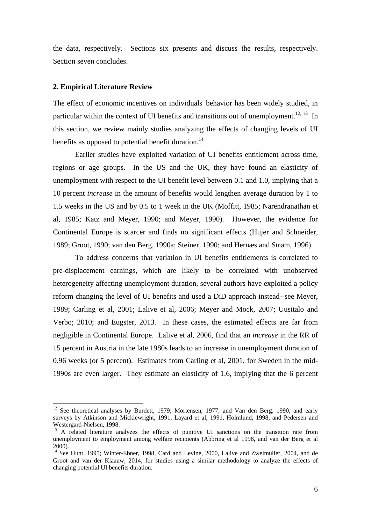the data, respectively. Sections six presents and discuss the results, respectively. Section seven concludes.

#### **2. Empirical Literature Review**

1

The effect of economic incentives on individuals' behavior has been widely studied, in particular within the context of UI benefits and transitions out of unemployment.<sup>12, 13</sup> In this section, we review mainly studies analyzing the effects of changing levels of UI benefits as opposed to potential benefit duration.<sup>14</sup>

 Earlier studies have exploited variation of UI benefits entitlement across time, regions or age groups. In the US and the UK, they have found an elasticity of unemployment with respect to the UI benefit level between 0.1 and 1.0, implying that a 10 percent *increase* in the amount of benefits would lengthen average duration by 1 to 1.5 weeks in the US and by 0.5 to 1 week in the UK (Moffitt, 1985; Narendranathan et al, 1985; Katz and Meyer, 1990; and Meyer, 1990). However, the evidence for Continental Europe is scarcer and finds no significant effects (Hujer and Schneider, 1989; Groot, 1990; van den Berg, 1990a; Steiner, 1990; and Hernæs and Strøm, 1996).

 To address concerns that variation in UI benefits entitlements is correlated to pre-displacement earnings, which are likely to be correlated with unobserved heterogeneity affecting unemployment duration, several authors have exploited a policy reform changing the level of UI benefits and used a DiD approach instead--see Meyer, 1989; Carling et al, 2001; Lalive et al, 2006; Meyer and Mock, 2007; Uusitalo and Verbo; 2010; and Eugster, 2013. In these cases, the estimated effects are far from negligible in Continental Europe. Lalive et al, 2006, find that an *increase* in the RR of 15 percent in Austria in the late 1980s leads to an increase in unemployment duration of 0.96 weeks (or 5 percent). Estimates from Carling et al, 2001, for Sweden in the mid-1990s are even larger. They estimate an elasticity of 1.6, implying that the 6 percent

<sup>&</sup>lt;sup>12</sup> See theoretical analyses by Burdett, 1979; Mortensen, 1977; and Van den Berg, 1990, and early surveys by Atkinson and Micklewright, 1991, Layard et al, 1991, Holmlund, 1998, and Pedersen and Westergard-Nielsen, 1998.

<sup>&</sup>lt;sup>13</sup> A related literature analyzes the effects of punitive UI sanctions on the transition rate from unemployment to employment among welfare recipients (Abbring et al 1998, and van der Berg et al 2000).

<sup>&</sup>lt;sup>14</sup> See Hunt, 1995; Winter-Ebner, 1998, Card and Levine, 2000, Lalive and Zweimüller, 2004, and de Groot and van der Klaauw, 2014, for studies using a similar methodology to analyze the effects of changing potential UI benefits duration.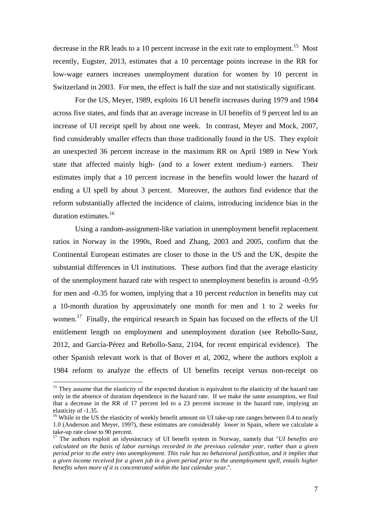decrease in the RR leads to a 10 percent increase in the exit rate to employment.<sup>15</sup> Most recently, Eugster, 2013, estimates that a 10 percentage points increase in the RR for low-wage earners increases unemployment duration for women by 10 percent in Switzerland in 2003. For men, the effect is half the size and not statistically significant.

 For the US, Meyer, 1989, exploits 16 UI benefit increases during 1979 and 1984 across five states, and finds that an average increase in UI benefits of 9 percent led to an increase of UI receipt spell by about one week. In contrast, Meyer and Mock, 2007, find considerably smaller effects than those traditionally found in the US. They exploit an unexpected 36 percent increase in the maximum RR on April 1989 in New York state that affected mainly high- (and to a lower extent medium-) earners. Their estimates imply that a 10 percent increase in the benefits would lower the hazard of ending a UI spell by about 3 percent. Moreover, the authors find evidence that the reform substantially affected the incidence of claims, introducing incidence bias in the duration estimates.16

 Using a random-assignment-like variation in unemployment benefit replacement ratios in Norway in the 1990s, Roed and Zhang, 2003 and 2005, confirm that the Continental European estimates are closer to those in the US and the UK, despite the substantial differences in UI institutions. These authors find that the average elasticity of the unemployment hazard rate with respect to unemployment benefits is around -0.95 for men and -0.35 for women, implying that a 10 percent *reduction* in benefits may cut a 10-month duration by approximately one month for men and 1 to 2 weeks for women.<sup>17</sup> Finally, the empirical research in Spain has focused on the effects of the UI entitlement length on employment and unemployment duration (see Rebollo-Sanz, 2012, and García-Pérez and Rebollo-Sanz, 2104, for recent empirical evidence). The other Spanish relevant work is that of Bover et al, 2002, where the authors exploit a 1984 reform to analyze the effects of UI benefits receipt versus non-receipt on

<sup>&</sup>lt;sup>15</sup> They assume that the elasticity of the expected duration is equivalent to the elasticity of the hazard rate only in the absence of duration dependence in the hazard rate. If we make the same assumption, we find that a decrease in the RR of 17 percent led to a 23 percent increase in the hazard rate, implying an elasticity of -1.35.

 $16$  While in the US the elasticity of weekly benefit amount on UI take-up rate ranges between 0.4 to nearly 1.0 (Anderson and Meyer, 1997), these estimates are considerably lower in Spain, where we calculate a take-up rate close to 90 percent.

<sup>17</sup> The authors exploit an idyosincracy of UI benefit system in Norway, namely that "*UI benefits are calculated on the basis of labor earnings recorded in the previous calendar year, rather than a given period prior to the entry into unemployment. This rule has no behavioral justification, and it implies that a given income received for a given job in a given period prior to the unemployment spell, entails higher benefits when more of it is concentrated within the last calendar year.*".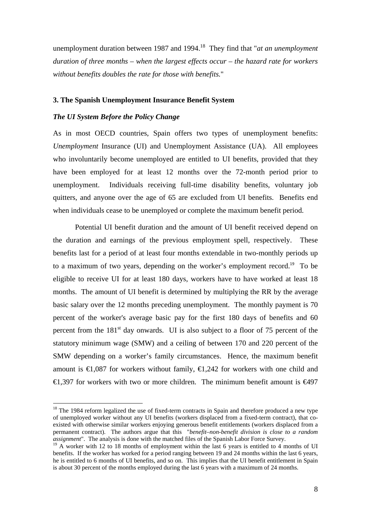unemployment duration between 1987 and 1994.<sup>18</sup> They find that "*at an unemployment duration of three months – when the largest effects occur – the hazard rate for workers without benefits doubles the rate for those with benefits.*"

#### **3. The Spanish Unemployment Insurance Benefit System**

#### *The UI System Before the Policy Change*

1

As in most OECD countries, Spain offers two types of unemployment benefits: *Unemployment* Insurance (UI) and Unemployment Assistance (UA). All employees who involuntarily become unemployed are entitled to UI benefits, provided that they have been employed for at least 12 months over the 72-month period prior to unemployment. Individuals receiving full-time disability benefits, voluntary job quitters, and anyone over the age of 65 are excluded from UI benefits. Benefits end when individuals cease to be unemployed or complete the maximum benefit period.

 Potential UI benefit duration and the amount of UI benefit received depend on the duration and earnings of the previous employment spell, respectively. These benefits last for a period of at least four months extendable in two-monthly periods up to a maximum of two years, depending on the worker's employment record.<sup>19</sup> To be eligible to receive UI for at least 180 days, workers have to have worked at least 18 months. The amount of UI benefit is determined by multiplying the RR by the average basic salary over the 12 months preceding unemployment. The monthly payment is 70 percent of the worker's average basic pay for the first 180 days of benefits and 60 percent from the  $181<sup>st</sup>$  day onwards. UI is also subject to a floor of 75 percent of the statutory minimum wage (SMW) and a ceiling of between 170 and 220 percent of the SMW depending on a worker's family circumstances. Hence, the maximum benefit amount is  $\bigoplus$ ,087 for workers without family,  $\bigoplus$ ,242 for workers with one child and  $\in$  397 for workers with two or more children. The minimum benefit amount is  $\in$ 497

<sup>&</sup>lt;sup>18</sup> The 1984 reform legalized the use of fixed-term contracts in Spain and therefore produced a new type of unemployed worker without any UI benefits (workers displaced from a fixed-term contract), that coexisted with otherwise similar workers enjoying generous benefit entitlements (workers displaced from a permanent contract). The authors argue that this "*benefit–non-benefit division is close to a random assignment*". The analysis is done with the matched files of the Spanish Labor Force Survey.

 $19$  A worker with 12 to 18 months of employment within the last 6 years is entitled to 4 months of UI benefits. If the worker has worked for a period ranging between 19 and 24 months within the last 6 years, he is entitled to 6 months of UI benefits, and so on. This implies that the UI benefit entitlement in Spain is about 30 percent of the months employed during the last 6 years with a maximum of 24 months.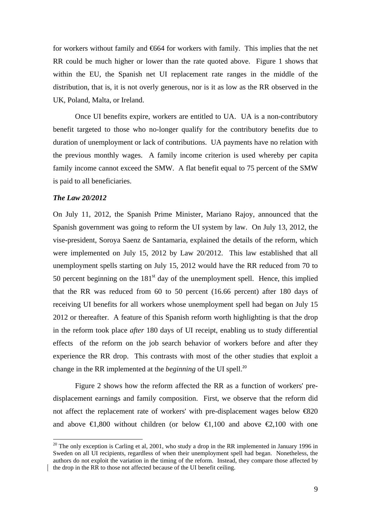for workers without family and  $664$  for workers with family. This implies that the net RR could be much higher or lower than the rate quoted above. Figure 1 shows that within the EU, the Spanish net UI replacement rate ranges in the middle of the distribution, that is, it is not overly generous, nor is it as low as the RR observed in the UK, Poland, Malta, or Ireland.

 Once UI benefits expire, workers are entitled to UA. UA is a non-contributory benefit targeted to those who no-longer qualify for the contributory benefits due to duration of unemployment or lack of contributions. UA payments have no relation with the previous monthly wages. A family income criterion is used whereby per capita family income cannot exceed the SMW. A flat benefit equal to 75 percent of the SMW is paid to all beneficiaries.

#### *The Law 20/2012*

<u>.</u>

On July 11, 2012, the Spanish Prime Minister, Mariano Rajoy, announced that the Spanish government was going to reform the UI system by law. On July 13, 2012, the vise-president, Soroya Saenz de Santamaria, explained the details of the reform, which were implemented on July 15, 2012 by Law 20/2012. This law established that all unemployment spells starting on July 15, 2012 would have the RR reduced from 70 to 50 percent beginning on the  $181<sup>st</sup>$  day of the unemployment spell. Hence, this implied that the RR was reduced from 60 to 50 percent (16.66 percent) after 180 days of receiving UI benefits for all workers whose unemployment spell had began on July 15 2012 or thereafter. A feature of this Spanish reform worth highlighting is that the drop in the reform took place *after* 180 days of UI receipt, enabling us to study differential effects of the reform on the job search behavior of workers before and after they experience the RR drop. This contrasts with most of the other studies that exploit a change in the RR implemented at the *beginning* of the UI spell.<sup>20</sup>

 Figure 2 shows how the reform affected the RR as a function of workers' predisplacement earnings and family composition. First, we observe that the reform did not affect the replacement rate of workers' with pre-displacement wages below  $\bigoplus 20$ and above  $\in$ 1,800 without children (or below  $\in$ 1,100 and above  $\in$ 2,100 with one

 $^{20}$  The only exception is Carling et al, 2001, who study a drop in the RR implemented in January 1996 in Sweden on all UI recipients, regardless of when their unemployment spell had began. Nonetheless, the authors do not exploit the variation in the timing of the reform. Instead, they compare those affected by the drop in the RR to those not affected because of the UI benefit ceiling.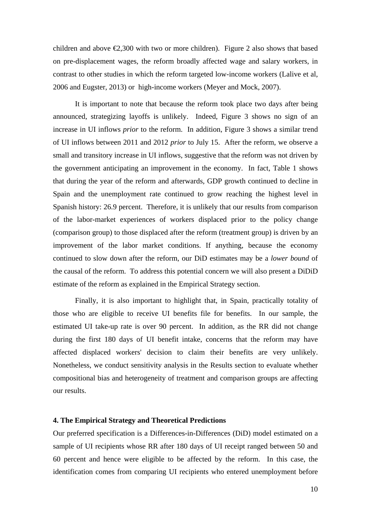children and above  $\epsilon$ , 300 with two or more children). Figure 2 also shows that based on pre-displacement wages, the reform broadly affected wage and salary workers, in contrast to other studies in which the reform targeted low-income workers (Lalive et al, 2006 and Eugster, 2013) or high-income workers (Meyer and Mock, 2007).

 It is important to note that because the reform took place two days after being announced, strategizing layoffs is unlikely. Indeed, Figure 3 shows no sign of an increase in UI inflows *prior* to the reform. In addition, Figure 3 shows a similar trend of UI inflows between 2011 and 2012 *prior* to July 15. After the reform, we observe a small and transitory increase in UI inflows, suggestive that the reform was not driven by the government anticipating an improvement in the economy. In fact, Table 1 shows that during the year of the reform and afterwards, GDP growth continued to decline in Spain and the unemployment rate continued to grow reaching the highest level in Spanish history: 26.9 percent. Therefore, it is unlikely that our results from comparison of the labor-market experiences of workers displaced prior to the policy change (comparison group) to those displaced after the reform (treatment group) is driven by an improvement of the labor market conditions. If anything, because the economy continued to slow down after the reform, our DiD estimates may be a *lower bound* of the causal of the reform. To address this potential concern we will also present a DiDiD estimate of the reform as explained in the Empirical Strategy section.

 Finally, it is also important to highlight that, in Spain, practically totality of those who are eligible to receive UI benefits file for benefits. In our sample, the estimated UI take-up rate is over 90 percent. In addition, as the RR did not change during the first 180 days of UI benefit intake, concerns that the reform may have affected displaced workers' decision to claim their benefits are very unlikely. Nonetheless, we conduct sensitivity analysis in the Results section to evaluate whether compositional bias and heterogeneity of treatment and comparison groups are affecting our results.

#### **4. The Empirical Strategy and Theoretical Predictions**

Our preferred specification is a Differences-in-Differences (DiD) model estimated on a sample of UI recipients whose RR after 180 days of UI receipt ranged between 50 and 60 percent and hence were eligible to be affected by the reform. In this case, the identification comes from comparing UI recipients who entered unemployment before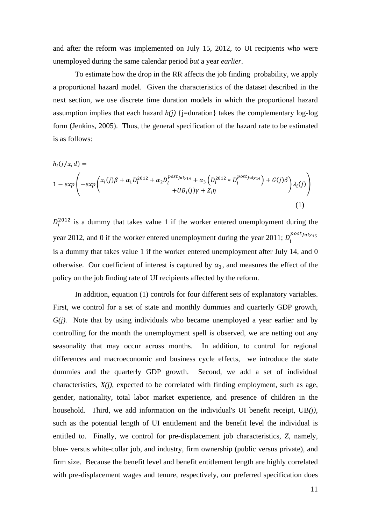and after the reform was implemented on July 15, 2012, to UI recipients who were unemployed during the same calendar period *but* a year *earlier*.

 To estimate how the drop in the RR affects the job finding probability, we apply a proportional hazard model. Given the characteristics of the dataset described in the next section, we use discrete time duration models in which the proportional hazard assumption implies that each hazard  $h(i)$  {j=duration} takes the complementary log-log form (Jenkins, 2005). Thus, the general specification of the hazard rate to be estimated is as follows:

$$
h_i(j/x,d) =
$$
  
\n
$$
1 - exp\left(-exp\left(\frac{x_i(j)\beta + \alpha_1 D_i^{2012} + \alpha_2 D_i^{post_{July14}} + \alpha_3 \left(D_i^{2012} * D_i^{post_{July14}}\right) + G(j)\delta}{+UB_i(j)\gamma + Z_i\eta}\right)\lambda_i(j)\right)
$$
\n(1)

 $D_i^{2012}$  is a dummy that takes value 1 if the worker entered unemployment during the year 2012, and 0 if the worker entered unemployment during the year 2011;  $D_i^{post_{July15}}$ is a dummy that takes value 1 if the worker entered unemployment after July 14, and 0 otherwise. Our coefficient of interest is captured by  $\alpha_3$ , and measures the effect of the policy on the job finding rate of UI recipients affected by the reform.

 In addition, equation (1) controls for four different sets of explanatory variables. First, we control for a set of state and monthly dummies and quarterly GDP growth, *G(j).* Note that by using individuals who became unemployed a year earlier and by controlling for the month the unemployment spell is observed, we are netting out any seasonality that may occur across months. In addition, to control for regional differences and macroeconomic and business cycle effects, we introduce the state dummies and the quarterly GDP growth. Second, we add a set of individual characteristics,  $X(i)$ , expected to be correlated with finding employment, such as age, gender, nationality, total labor market experience, and presence of children in the household. Third, we add information on the individual's UI benefit receipt, UB*(j)*, such as the potential length of UI entitlement and the benefit level the individual is entitled to. Finally, we control for pre-displacement job characteristics, *Z*, namely, blue- versus white-collar job, and industry, firm ownership (public versus private), and firm size. Because the benefit level and benefit entitlement length are highly correlated with pre-displacement wages and tenure, respectively, our preferred specification does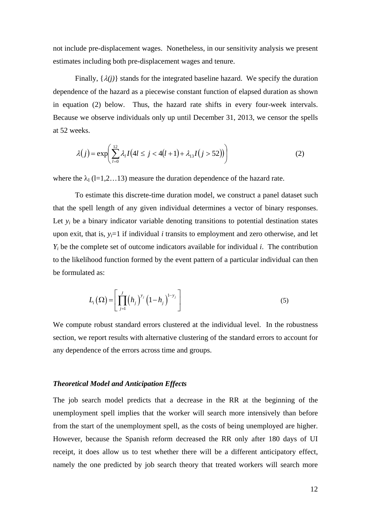not include pre-displacement wages. Nonetheless, in our sensitivity analysis we present estimates including both pre-displacement wages and tenure.

Finally,  $\{\lambda(i)\}\$  stands for the integrated baseline hazard. We specify the duration dependence of the hazard as a piecewise constant function of elapsed duration as shown in equation (2) below. Thus, the hazard rate shifts in every four-week intervals. Because we observe individuals only up until December 31, 2013, we censor the spells at 52 weeks.

$$
\lambda(j) = \exp\left(\sum_{l=0}^{12} \lambda_l I(4l \le j < 4(l+1) + \lambda_{13} I(j > 52))\right) \tag{2}
$$

where the  $\lambda_1$  (l=1,2…13) measure the duration dependence of the hazard rate.

 To estimate this discrete-time duration model, we construct a panel dataset such that the spell length of any given individual determines a vector of binary responses. Let  $y_i$  be a binary indicator variable denoting transitions to potential destination states upon exit, that is,  $y_i=1$  if individual *i* transits to employment and zero otherwise, and let *Yi* be the complete set of outcome indicators available for individual *i*. The contribution to the likelihood function formed by the event pattern of a particular individual can then be formulated as:

$$
L_i(\Omega) = \left[ \prod_{j=1}^J (h_j)^{y_j} \left( 1 - h_j \right)^{1 - y_j} \right]
$$
 (5)

We compute robust standard errors clustered at the individual level. In the robustness section, we report results with alternative clustering of the standard errors to account for any dependence of the errors across time and groups.

#### *Theoretical Model and Anticipation Effects*

The job search model predicts that a decrease in the RR at the beginning of the unemployment spell implies that the worker will search more intensively than before from the start of the unemployment spell, as the costs of being unemployed are higher. However, because the Spanish reform decreased the RR only after 180 days of UI receipt, it does allow us to test whether there will be a different anticipatory effect, namely the one predicted by job search theory that treated workers will search more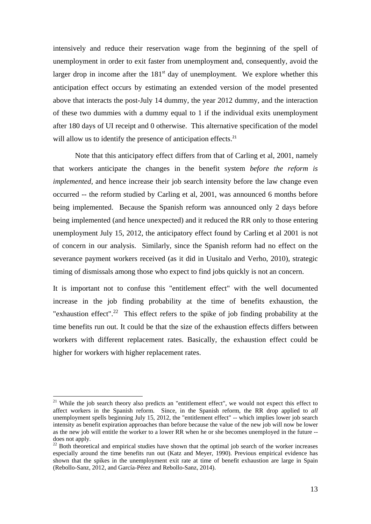intensively and reduce their reservation wage from the beginning of the spell of unemployment in order to exit faster from unemployment and, consequently, avoid the larger drop in income after the  $181<sup>st</sup>$  day of unemployment. We explore whether this anticipation effect occurs by estimating an extended version of the model presented above that interacts the post-July 14 dummy, the year 2012 dummy, and the interaction of these two dummies with a dummy equal to 1 if the individual exits unemployment after 180 days of UI receipt and 0 otherwise. This alternative specification of the model will allow us to identify the presence of anticipation effects.<sup>21</sup>

 Note that this anticipatory effect differs from that of Carling et al, 2001, namely that workers anticipate the changes in the benefit system *before the reform is implemented*, and hence increase their job search intensity before the law change even occurred -- the reform studied by Carling et al, 2001, was announced 6 months before being implemented. Because the Spanish reform was announced only 2 days before being implemented (and hence unexpected) and it reduced the RR only to those entering unemployment July 15, 2012, the anticipatory effect found by Carling et al 2001 is not of concern in our analysis. Similarly, since the Spanish reform had no effect on the severance payment workers received (as it did in Uusitalo and Verho, 2010), strategic timing of dismissals among those who expect to find jobs quickly is not an concern.

It is important not to confuse this "entitlement effect" with the well documented increase in the job finding probability at the time of benefits exhaustion, the "exhaustion effect".<sup>22</sup> This effect refers to the spike of job finding probability at the time benefits run out. It could be that the size of the exhaustion effects differs between workers with different replacement rates. Basically, the exhaustion effect could be higher for workers with higher replacement rates.

<u>.</u>

<sup>&</sup>lt;sup>21</sup> While the job search theory also predicts an "entitlement effect", we would not expect this effect to affect workers in the Spanish reform. Since, in the Spanish reform, the RR drop applied to *all* unemployment spells beginning July 15, 2012, the "entitlement effect" -- which implies lower job search intensity as benefit expiration approaches than before because the value of the new job will now be lower as the new job will entitle the worker to a lower RR when he or she becomes unemployed in the future - does not apply.

 $22$  Both theoretical and empirical studies have shown that the optimal job search of the worker increases especially around the time benefits run out (Katz and Meyer, 1990). Previous empirical evidence has shown that the spikes in the unemployment exit rate at time of benefit exhaustion are large in Spain (Rebollo-Sanz, 2012, and García-Pérez and Rebollo-Sanz, 2014).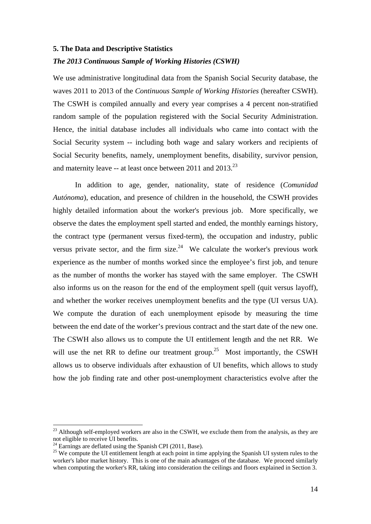#### **5. The Data and Descriptive Statistics**

#### *The 2013 Continuous Sample of Working Histories (CSWH)*

We use administrative longitudinal data from the Spanish Social Security database, the waves 2011 to 2013 of the *Continuous Sample of Working Histories* (hereafter CSWH). The CSWH is compiled annually and every year comprises a 4 percent non-stratified random sample of the population registered with the Social Security Administration. Hence, the initial database includes all individuals who came into contact with the Social Security system -- including both wage and salary workers and recipients of Social Security benefits, namely, unemployment benefits, disability, survivor pension, and maternity leave -- at least once between 2011 and 2013.<sup>23</sup>

 In addition to age, gender, nationality, state of residence (*Comunidad Autónoma*), education, and presence of children in the household, the CSWH provides highly detailed information about the worker's previous job. More specifically, we observe the dates the employment spell started and ended, the monthly earnings history, the contract type (permanent versus fixed-term), the occupation and industry, public versus private sector, and the firm size.<sup>24</sup> We calculate the worker's previous work experience as the number of months worked since the employee's first job, and tenure as the number of months the worker has stayed with the same employer. The CSWH also informs us on the reason for the end of the employment spell (quit versus layoff), and whether the worker receives unemployment benefits and the type (UI versus UA). We compute the duration of each unemployment episode by measuring the time between the end date of the worker's previous contract and the start date of the new one. The CSWH also allows us to compute the UI entitlement length and the net RR. We will use the net RR to define our treatment group.<sup>25</sup> Most importantly, the CSWH allows us to observe individuals after exhaustion of UI benefits, which allows to study how the job finding rate and other post-unemployment characteristics evolve after the

<sup>&</sup>lt;sup>23</sup> Although self-employed workers are also in the CSWH, we exclude them from the analysis, as they are not eligible to receive UI benefits.

 $^{24}$  Earnings are deflated using the Spanish CPI (2011, Base).

<sup>&</sup>lt;sup>25</sup> We compute the UI entitlement length at each point in time applying the Spanish UI system rules to the worker's labor market history. This is one of the main advantages of the database. We proceed similarly when computing the worker's RR, taking into consideration the ceilings and floors explained in Section 3.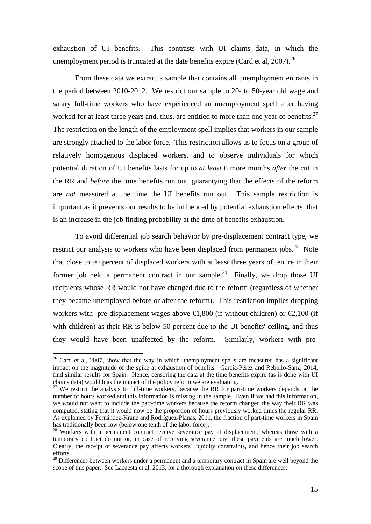exhaustion of UI benefits. This contrasts with UI claims data, in which the unemployment period is truncated at the date benefits expire (Card et al.  $2007$ ).<sup>26</sup>

 From these data we extract a sample that contains all unemployment entrants in the period between 2010-2012. We restrict our sample to 20- to 50-year old wage and salary full-time workers who have experienced an unemployment spell after having worked for at least three years and, thus, are entitled to more than one year of benefits.<sup>27</sup> The restriction on the length of the employment spell implies that workers in our sample are strongly attached to the labor force. This restriction allows us to focus on a group of relatively homogenous displaced workers, and to observe individuals for which potential duration of UI benefits lasts for up to *at least* 6 more months *after* the cut in the RR and *before* the time benefits run out, guarantying that the effects of the reform are *not* measured at the time the UI benefits run out. This sample restriction is important as it prevents our results to be influenced by potential exhaustion effects, that is an increase in the job finding probability at the time of benefits exhaustion.

 To avoid differential job search behavior by pre-displacement contract type, we restrict our analysis to workers who have been displaced from permanent jobs.<sup>28</sup> Note that close to 90 percent of displaced workers with at least three years of tenure in their former job held a permanent contract in our sample.<sup>29</sup> Finally, we drop those UI recipients whose RR would not have changed due to the reform (regardless of whether they became unemployed before or after the reform). This restriction implies dropping workers with pre-displacement wages above  $\in$ 1,800 (if without children) or  $\in$ 2,100 (if with children) as their RR is below 50 percent due to the UI benefits' ceiling, and thus they would have been unaffected by the reform. Similarly, workers with pre-

 $26$  Card et al, 2007, show that the way in which unemployment spells are measured has a significant impact on the magnitude of the spike at exhaustion of benefits. García-Pérez and Rebollo-Sanz, 2014, find similar results for Spain. Hence, censoring the data at the time benefits expire (as is done with UI claims data) would bias the impact of the policy reform we are evaluating.  $27$  We restrict the analysis to full-time workers, because the RR for part-time workers depends on the

number of hours worked and this information is missing in the sample. Even if we had this information, we would not want to include the part-time workers because the reform changed the way their RR was computed, stating that it would now be the proportion of hours previously worked times the regular RR. As explained by Fernández-Kranz and Rodríguez-Planas, 2011, the fraction of part-time workers in Spain has traditionally been low (below one tenth of the labor force).

<sup>&</sup>lt;sup>28</sup> Workers with a permanent contract receive severance pay at displacement, whereas those with a temporary contract do not or, in case of receiving severance pay, these payments are much lower. Clearly, the receipt of severance pay affects workers' liquidity constraints, and hence their job search efforts.

<sup>&</sup>lt;sup>29</sup> Differences between workers under a permanent and a temporary contract in Spain are well beyond the scope of this paper. See Lacuesta et al, 2013, for a thorough explanation on these differences.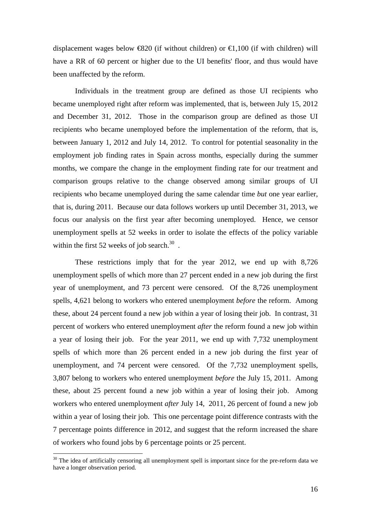displacement wages below  $\bigoplus$  20 (if without children) or  $\bigoplus$ , 100 (if with children) will have a RR of 60 percent or higher due to the UI benefits' floor, and thus would have been unaffected by the reform.

 Individuals in the treatment group are defined as those UI recipients who became unemployed right after reform was implemented, that is, between July 15, 2012 and December 31, 2012. Those in the comparison group are defined as those UI recipients who became unemployed before the implementation of the reform, that is, between January 1, 2012 and July 14, 2012. To control for potential seasonality in the employment job finding rates in Spain across months, especially during the summer months, we compare the change in the employment finding rate for our treatment and comparison groups relative to the change observed among similar groups of UI recipients who became unemployed during the same calendar time *but* one year earlier, that is, during 2011. Because our data follows workers up until December 31, 2013, we focus our analysis on the first year after becoming unemployed. Hence, we censor unemployment spells at 52 weeks in order to isolate the effects of the policy variable within the first 52 weeks of job search. $30$ .

 These restrictions imply that for the year 2012, we end up with 8,726 unemployment spells of which more than 27 percent ended in a new job during the first year of unemployment, and 73 percent were censored. Of the 8,726 unemployment spells, 4,621 belong to workers who entered unemployment *before* the reform. Among these, about 24 percent found a new job within a year of losing their job. In contrast, 31 percent of workers who entered unemployment *after* the reform found a new job within a year of losing their job. For the year 2011, we end up with 7,732 unemployment spells of which more than 26 percent ended in a new job during the first year of unemployment, and 74 percent were censored. Of the 7,732 unemployment spells, 3,807 belong to workers who entered unemployment *before* the July 15, 2011. Among these, about 25 percent found a new job within a year of losing their job. Among workers who entered unemployment *after* July 14, 2011, 26 percent of found a new job within a year of losing their job. This one percentage point difference contrasts with the 7 percentage points difference in 2012, and suggest that the reform increased the share of workers who found jobs by 6 percentage points or 25 percent.

<sup>&</sup>lt;sup>30</sup> The idea of artificially censoring all unemployment spell is important since for the pre-reform data we have a longer observation period.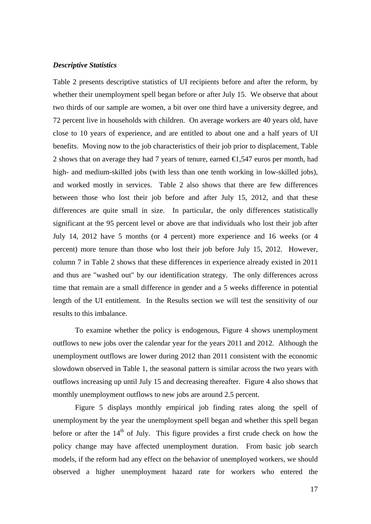#### *Descriptive Statistics*

Table 2 presents descriptive statistics of UI recipients before and after the reform, by whether their unemployment spell began before or after July 15. We observe that about two thirds of our sample are women, a bit over one third have a university degree, and 72 percent live in households with children. On average workers are 40 years old, have close to 10 years of experience, and are entitled to about one and a half years of UI benefits. Moving now to the job characteristics of their job prior to displacement, Table 2 shows that on average they had 7 years of tenure, earned  $\epsilon$ , 547 euros per month, had high- and medium-skilled jobs (with less than one tenth working in low-skilled jobs), and worked mostly in services. Table 2 also shows that there are few differences between those who lost their job before and after July 15, 2012, and that these differences are quite small in size. In particular, the only differences statistically significant at the 95 percent level or above are that individuals who lost their job after July 14, 2012 have 5 months (or 4 percent) more experience and 16 weeks (or 4 percent) more tenure than those who lost their job before July 15, 2012. However, column 7 in Table 2 shows that these differences in experience already existed in 2011 and thus are "washed out" by our identification strategy. The only differences across time that remain are a small difference in gender and a 5 weeks difference in potential length of the UI entitlement. In the Results section we will test the sensitivity of our results to this imbalance.

 To examine whether the policy is endogenous, Figure 4 shows unemployment outflows to new jobs over the calendar year for the years 2011 and 2012. Although the unemployment outflows are lower during 2012 than 2011 consistent with the economic slowdown observed in Table 1, the seasonal pattern is similar across the two years with outflows increasing up until July 15 and decreasing thereafter. Figure 4 also shows that monthly unemployment outflows to new jobs are around 2.5 percent.

 Figure 5 displays monthly empirical job finding rates along the spell of unemployment by the year the unemployment spell began and whether this spell began before or after the  $14<sup>th</sup>$  of July. This figure provides a first crude check on how the policy change may have affected unemployment duration. From basic job search models, if the reform had any effect on the behavior of unemployed workers, we should observed a higher unemployment hazard rate for workers who entered the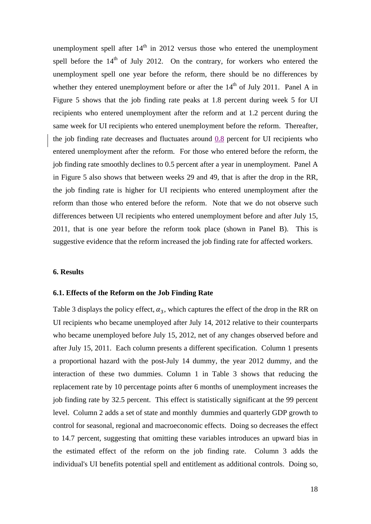unemployment spell after  $14<sup>th</sup>$  in 2012 versus those who entered the unemployment spell before the  $14<sup>th</sup>$  of July 2012. On the contrary, for workers who entered the unemployment spell one year before the reform, there should be no differences by whether they entered unemployment before or after the  $14<sup>th</sup>$  of July 2011. Panel A in Figure 5 shows that the job finding rate peaks at 1.8 percent during week 5 for UI recipients who entered unemployment after the reform and at 1.2 percent during the same week for UI recipients who entered unemployment before the reform. Thereafter, the job finding rate decreases and fluctuates around  $0.8$  percent for UI recipients who entered unemployment after the reform. For those who entered before the reform, the job finding rate smoothly declines to 0.5 percent after a year in unemployment. Panel A in Figure 5 also shows that between weeks 29 and 49, that is after the drop in the RR, the job finding rate is higher for UI recipients who entered unemployment after the reform than those who entered before the reform. Note that we do not observe such differences between UI recipients who entered unemployment before and after July 15, 2011, that is one year before the reform took place (shown in Panel B). This is suggestive evidence that the reform increased the job finding rate for affected workers.

#### **6. Results**

#### **6.1. Effects of the Reform on the Job Finding Rate**

Table 3 displays the policy effect,  $\alpha_3$ , which captures the effect of the drop in the RR on UI recipients who became unemployed after July 14, 2012 relative to their counterparts who became unemployed before July 15, 2012, net of any changes observed before and after July 15, 2011. Each column presents a different specification. Column 1 presents a proportional hazard with the post-July 14 dummy, the year 2012 dummy, and the interaction of these two dummies. Column 1 in Table 3 shows that reducing the replacement rate by 10 percentage points after 6 months of unemployment increases the job finding rate by 32.5 percent. This effect is statistically significant at the 99 percent level. Column 2 adds a set of state and monthly dummies and quarterly GDP growth to control for seasonal, regional and macroeconomic effects. Doing so decreases the effect to 14.7 percent, suggesting that omitting these variables introduces an upward bias in the estimated effect of the reform on the job finding rate. Column 3 adds the individual's UI benefits potential spell and entitlement as additional controls. Doing so,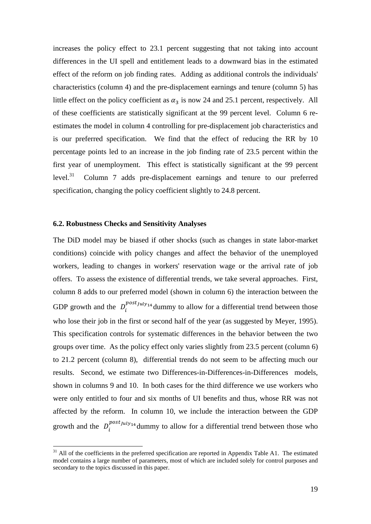increases the policy effect to 23.1 percent suggesting that not taking into account differences in the UI spell and entitlement leads to a downward bias in the estimated effect of the reform on job finding rates. Adding as additional controls the individuals' characteristics (column 4) and the pre-displacement earnings and tenure (column 5) has little effect on the policy coefficient as  $\alpha_3$  is now 24 and 25.1 percent, respectively. All of these coefficients are statistically significant at the 99 percent level. Column 6 reestimates the model in column 4 controlling for pre-displacement job characteristics and is our preferred specification. We find that the effect of reducing the RR by 10 percentage points led to an increase in the job finding rate of 23.5 percent within the first year of unemployment. This effect is statistically significant at the 99 percent level.31 Column 7 adds pre-displacement earnings and tenure to our preferred specification, changing the policy coefficient slightly to 24.8 percent.

#### **6.2. Robustness Checks and Sensitivity Analyses**

1

The DiD model may be biased if other shocks (such as changes in state labor-market conditions) coincide with policy changes and affect the behavior of the unemployed workers, leading to changes in workers' reservation wage or the arrival rate of job offers. To assess the existence of differential trends, we take several approaches. First, column 8 adds to our preferred model (shown in column 6) the interaction between the GDP growth and the  $D_i^{post_{July_14}}$  dummy to allow for a differential trend between those who lose their job in the first or second half of the year (as suggested by Meyer, 1995). This specification controls for systematic differences in the behavior between the two groups over time. As the policy effect only varies slightly from 23.5 percent (column 6) to 21.2 percent (column 8), differential trends do not seem to be affecting much our results. Second, we estimate two Differences-in-Differences-in-Differences models, shown in columns 9 and 10. In both cases for the third difference we use workers who were only entitled to four and six months of UI benefits and thus, whose RR was not affected by the reform. In column 10, we include the interaction between the GDP growth and the  $D_i^{post_{July14}}$  dummy to allow for a differential trend between those who

 $31$  All of the coefficients in the preferred specification are reported in Appendix Table A1. The estimated model contains a large number of parameters, most of which are included solely for control purposes and secondary to the topics discussed in this paper.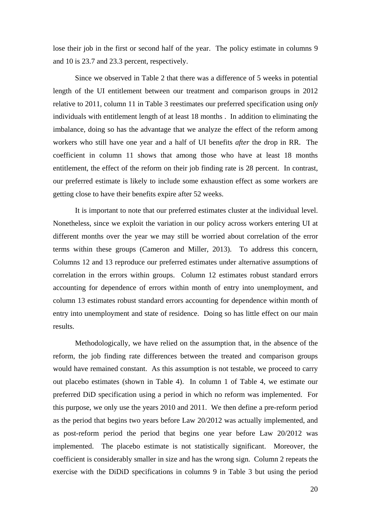lose their job in the first or second half of the year. The policy estimate in columns 9 and 10 is 23.7 and 23.3 percent, respectively.

 Since we observed in Table 2 that there was a difference of 5 weeks in potential length of the UI entitlement between our treatment and comparison groups in 2012 relative to 2011, column 11 in Table 3 reestimates our preferred specification using *only* individuals with entitlement length of at least 18 months . In addition to eliminating the imbalance, doing so has the advantage that we analyze the effect of the reform among workers who still have one year and a half of UI benefits *after* the drop in RR. The coefficient in column 11 shows that among those who have at least 18 months entitlement, the effect of the reform on their job finding rate is 28 percent. In contrast, our preferred estimate is likely to include some exhaustion effect as some workers are getting close to have their benefits expire after 52 weeks.

It is important to note that our preferred estimates cluster at the individual level. Nonetheless, since we exploit the variation in our policy across workers entering UI at different months over the year we may still be worried about correlation of the error terms within these groups (Cameron and Miller, 2013). To address this concern, Columns 12 and 13 reproduce our preferred estimates under alternative assumptions of correlation in the errors within groups. Column 12 estimates robust standard errors accounting for dependence of errors within month of entry into unemployment, and column 13 estimates robust standard errors accounting for dependence within month of entry into unemployment and state of residence. Doing so has little effect on our main results.

 Methodologically, we have relied on the assumption that, in the absence of the reform, the job finding rate differences between the treated and comparison groups would have remained constant. As this assumption is not testable, we proceed to carry out placebo estimates (shown in Table 4). In column 1 of Table 4, we estimate our preferred DiD specification using a period in which no reform was implemented. For this purpose, we only use the years 2010 and 2011. We then define a pre-reform period as the period that begins two years before Law 20/2012 was actually implemented, and as post-reform period the period that begins one year before Law 20/2012 was implemented. The placebo estimate is not statistically significant. Moreover, the coefficient is considerably smaller in size and has the wrong sign. Column 2 repeats the exercise with the DiDiD specifications in columns 9 in Table 3 but using the period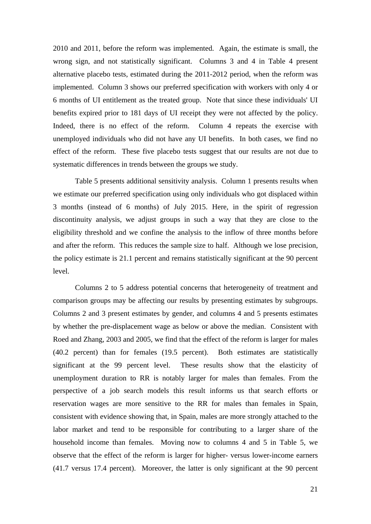2010 and 2011, before the reform was implemented. Again, the estimate is small, the wrong sign, and not statistically significant. Columns 3 and 4 in Table 4 present alternative placebo tests, estimated during the 2011-2012 period, when the reform was implemented. Column 3 shows our preferred specification with workers with only 4 or 6 months of UI entitlement as the treated group. Note that since these individuals' UI benefits expired prior to 181 days of UI receipt they were not affected by the policy. Indeed, there is no effect of the reform. Column 4 repeats the exercise with unemployed individuals who did not have any UI benefits. In both cases, we find no effect of the reform. These five placebo tests suggest that our results are not due to systematic differences in trends between the groups we study.

 Table 5 presents additional sensitivity analysis. Column 1 presents results when we estimate our preferred specification using only individuals who got displaced within 3 months (instead of 6 months) of July 2015. Here, in the spirit of regression discontinuity analysis, we adjust groups in such a way that they are close to the eligibility threshold and we confine the analysis to the inflow of three months before and after the reform. This reduces the sample size to half. Although we lose precision, the policy estimate is 21.1 percent and remains statistically significant at the 90 percent level.

 Columns 2 to 5 address potential concerns that heterogeneity of treatment and comparison groups may be affecting our results by presenting estimates by subgroups. Columns 2 and 3 present estimates by gender, and columns 4 and 5 presents estimates by whether the pre-displacement wage as below or above the median. Consistent with Roed and Zhang, 2003 and 2005, we find that the effect of the reform is larger for males (40.2 percent) than for females (19.5 percent). Both estimates are statistically significant at the 99 percent level. These results show that the elasticity of unemployment duration to RR is notably larger for males than females. From the perspective of a job search models this result informs us that search efforts or reservation wages are more sensitive to the RR for males than females in Spain, consistent with evidence showing that, in Spain, males are more strongly attached to the labor market and tend to be responsible for contributing to a larger share of the household income than females. Moving now to columns 4 and 5 in Table 5, we observe that the effect of the reform is larger for higher- versus lower-income earners (41.7 versus 17.4 percent). Moreover, the latter is only significant at the 90 percent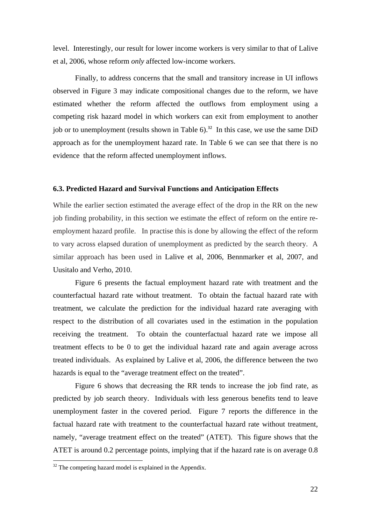level. Interestingly, our result for lower income workers is very similar to that of Lalive et al, 2006, whose reform *only* affected low-income workers.

 Finally, to address concerns that the small and transitory increase in UI inflows observed in Figure 3 may indicate compositional changes due to the reform, we have estimated whether the reform affected the outflows from employment using a competing risk hazard model in which workers can exit from employment to another job or to unemployment (results shown in Table  $6$ ).<sup>32</sup> In this case, we use the same DiD approach as for the unemployment hazard rate. In Table 6 we can see that there is no evidence that the reform affected unemployment inflows.

#### **6.3. Predicted Hazard and Survival Functions and Anticipation Effects**

While the earlier section estimated the average effect of the drop in the RR on the new job finding probability, in this section we estimate the effect of reform on the entire reemployment hazard profile. In practise this is done by allowing the effect of the reform to vary across elapsed duration of unemployment as predicted by the search theory. A similar approach has been used in Lalive et al, 2006, Bennmarker et al, 2007, and Uusitalo and Verho, 2010.

Figure 6 presents the factual employment hazard rate with treatment and the counterfactual hazard rate without treatment. To obtain the factual hazard rate with treatment, we calculate the prediction for the individual hazard rate averaging with respect to the distribution of all covariates used in the estimation in the population receiving the treatment. To obtain the counterfactual hazard rate we impose all treatment effects to be 0 to get the individual hazard rate and again average across treated individuals. As explained by Lalive et al, 2006, the difference between the two hazards is equal to the "average treatment effect on the treated".

 Figure 6 shows that decreasing the RR tends to increase the job find rate, as predicted by job search theory. Individuals with less generous benefits tend to leave unemployment faster in the covered period. Figure 7 reports the difference in the factual hazard rate with treatment to the counterfactual hazard rate without treatment, namely, "average treatment effect on the treated" (ATET). This figure shows that the ATET is around 0.2 percentage points, implying that if the hazard rate is on average 0.8

<u>.</u>

 $32$  The competing hazard model is explained in the Appendix.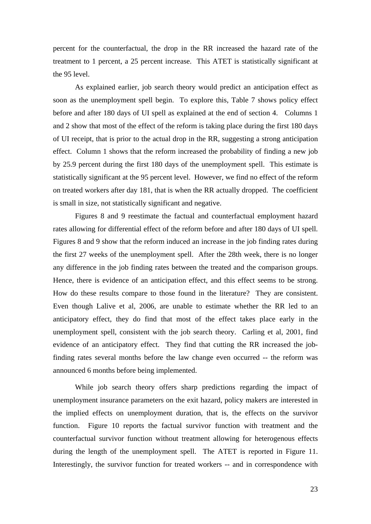percent for the counterfactual, the drop in the RR increased the hazard rate of the treatment to 1 percent, a 25 percent increase. This ATET is statistically significant at the 95 level.

 As explained earlier, job search theory would predict an anticipation effect as soon as the unemployment spell begin. To explore this, Table 7 shows policy effect before and after 180 days of UI spell as explained at the end of section 4. Columns 1 and 2 show that most of the effect of the reform is taking place during the first 180 days of UI receipt, that is prior to the actual drop in the RR, suggesting a strong anticipation effect. Column 1 shows that the reform increased the probability of finding a new job by 25.9 percent during the first 180 days of the unemployment spell. This estimate is statistically significant at the 95 percent level. However, we find no effect of the reform on treated workers after day 181, that is when the RR actually dropped. The coefficient is small in size, not statistically significant and negative.

 Figures 8 and 9 reestimate the factual and counterfactual employment hazard rates allowing for differential effect of the reform before and after 180 days of UI spell. Figures 8 and 9 show that the reform induced an increase in the job finding rates during the first 27 weeks of the unemployment spell. After the 28th week, there is no longer any difference in the job finding rates between the treated and the comparison groups. Hence, there is evidence of an anticipation effect, and this effect seems to be strong. How do these results compare to those found in the literature? They are consistent. Even though Lalive et al, 2006, are unable to estimate whether the RR led to an anticipatory effect, they do find that most of the effect takes place early in the unemployment spell, consistent with the job search theory. Carling et al, 2001, find evidence of an anticipatory effect. They find that cutting the RR increased the jobfinding rates several months before the law change even occurred -- the reform was announced 6 months before being implemented.

 While job search theory offers sharp predictions regarding the impact of unemployment insurance parameters on the exit hazard, policy makers are interested in the implied effects on unemployment duration, that is, the effects on the survivor function. Figure 10 reports the factual survivor function with treatment and the counterfactual survivor function without treatment allowing for heterogenous effects during the length of the unemployment spell. The ATET is reported in Figure 11. Interestingly, the survivor function for treated workers -- and in correspondence with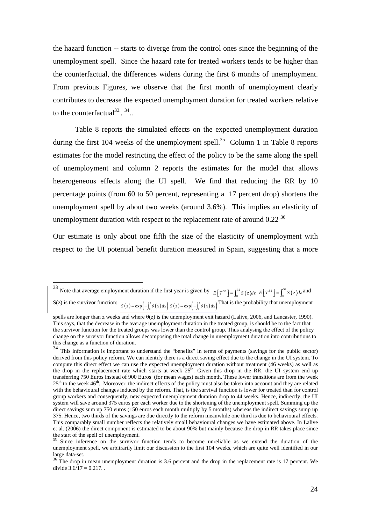the hazard function -- starts to diverge from the control ones since the beginning of the unemployment spell. Since the hazard rate for treated workers tends to be higher than the counterfactual, the differences widens during the first 6 months of unemployment. From previous Figures, we observe that the first month of unemployment clearly contributes to decrease the expected unemployment duration for treated workers relative to the counterfactual<sup>33.  $34$ </sup>..

 Table 8 reports the simulated effects on the expected unemployment duration during the first 104 weeks of the unemployment spell.<sup>35</sup> Column 1 in Table 8 reports estimates for the model restricting the effect of the policy to be the same along the spell of unemployment and column 2 reports the estimates for the model that allows heterogeneous effects along the UI spell. We find that reducing the RR by 10 percentage points (from 60 to 50 percent, representing a 17 percent drop) shortens the unemployment spell by about two weeks (around 3.6%). This implies an elasticity of unemployment duration with respect to the replacement rate of around 0.22 $36$ 

Our estimate is only about one fifth the size of the elasticity of unemployment with respect to the UI potential benefit duration measured in Spain, suggesting that a more

<sup>&</sup>lt;sup>33</sup> Note that average employment duration if the first year is given by  $E[T^{s_2}] = \int_0^{s_2} S(z) dz E[T^{s_2}] = \int_0^{s_2} S(z) dz$  and S(z) is the survivor function:  $S(z) = \exp(-\int_0^z \theta(x) dx) S(z) = \exp(-\int_0^z \theta(x) dx)$  That is the probability that unemployment

spells are longer than z weeks and where  $\theta(z)$  is the unemployment exit hazard (Lalive, 2006, and Lancaster, 1990). This says, that the decrease in the average unemployment duration in the treated group, is should be to the fact that the survivor function for the treated groups was lower than the control group. Thus analysing the effect of the policy change on the survivor function allows decomposing the total change in unemployment duration into contributions to this change as a function of duration.

<sup>34</sup> This information is important to understand the "benefits" in terms of payments (savings for the public sector) derived from this policy reform. We can identify there is a direct saving effect due to the change in the UI system. To compute this direct effect we can use the expected unemployment duration without treatment (46 weeks) as well as the drop in the replacement rate which starts at week  $25<sup>th</sup>$ . Given this drop in the RR, the UI system end up transferring 750 Euros instead of 900 Euros (for mean wages) each month. These lower transitions are from the week  $25<sup>th</sup>$  to the week  $46<sup>th</sup>$ . Moreover, the indirect effects of the policy must also be taken into account and they are related with the behavioural changes induced by the reform. That, is the survival function is lower for treated than for control group workers and consequently, new expected unemployment duration drop to 44 weeks. Hence, indirectly, the UI system will save around 375 euros per each worker due to the shortening of the unemployment spell. Summing up the direct savings sum up 750 euros (150 euros each month multiply by 5 months) whereas the indirect savings sump up 375. Hence, two thirds of the savings are due directly to the reform meanwhile one third is due to behavioural effects. This comparably small number reflects the relatively small behavioural changes we have estimated above. In Lalive et al. (2006) the direct component is estimated to be about 90% but mainly because the drop in RR takes place since the start of the spell of unemployment.

<sup>&</sup>lt;sup>35</sup> Since inference on the survivor function tends to become unreliable as we extend the duration of the unemployment spell, we arbitrarily limit our discussion to the first 104 weeks, which are quite well identified in our large data-set.

<sup>&</sup>lt;sup>36</sup> The drop in mean unemployment duration is 3.6 percent and the drop in the replacement rate is 17 percent. We divide  $3.6/17 = 0.217$ .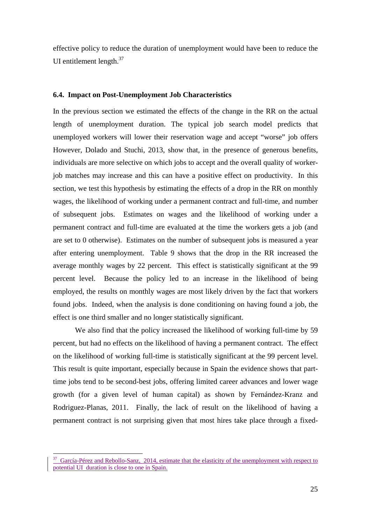effective policy to reduce the duration of unemployment would have been to reduce the UI entitlement length. $37$ 

#### **6.4. Impact on Post-Unemployment Job Characteristics**

In the previous section we estimated the effects of the change in the RR on the actual length of unemployment duration. The typical job search model predicts that unemployed workers will lower their reservation wage and accept "worse" job offers However, Dolado and Stuchi, 2013, show that, in the presence of generous benefits, individuals are more selective on which jobs to accept and the overall quality of workerjob matches may increase and this can have a positive effect on productivity. In this section, we test this hypothesis by estimating the effects of a drop in the RR on monthly wages, the likelihood of working under a permanent contract and full-time, and number of subsequent jobs. Estimates on wages and the likelihood of working under a permanent contract and full-time are evaluated at the time the workers gets a job (and are set to 0 otherwise). Estimates on the number of subsequent jobs is measured a year after entering unemployment. Table 9 shows that the drop in the RR increased the average monthly wages by 22 percent. This effect is statistically significant at the 99 percent level. Because the policy led to an increase in the likelihood of being employed, the results on monthly wages are most likely driven by the fact that workers found jobs. Indeed, when the analysis is done conditioning on having found a job, the effect is one third smaller and no longer statistically significant.

We also find that the policy increased the likelihood of working full-time by 59 percent, but had no effects on the likelihood of having a permanent contract. The effect on the likelihood of working full-time is statistically significant at the 99 percent level. This result is quite important, especially because in Spain the evidence shows that parttime jobs tend to be second-best jobs, offering limited career advances and lower wage growth (for a given level of human capital) as shown by Fernández-Kranz and Rodriguez-Planas, 2011. Finally, the lack of result on the likelihood of having a permanent contract is not surprising given that most hires take place through a fixed-

 $37$  García-Pérez and Rebollo-Sanz, 2014, estimate that the elasticity of the unemployment with respect to potential UI duration is close to one in Spain.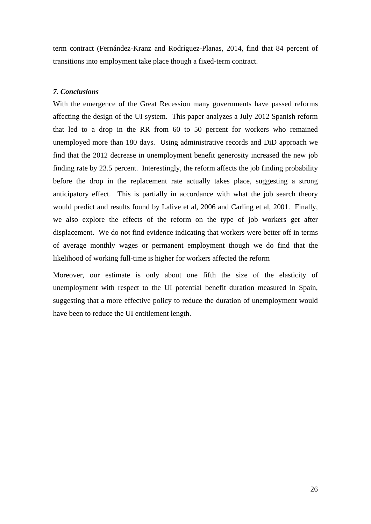term contract (Fernández-Kranz and Rodríguez-Planas, 2014, find that 84 percent of transitions into employment take place though a fixed-term contract.

#### *7. Conclusions*

With the emergence of the Great Recession many governments have passed reforms affecting the design of the UI system. This paper analyzes a July 2012 Spanish reform that led to a drop in the RR from 60 to 50 percent for workers who remained unemployed more than 180 days. Using administrative records and DiD approach we find that the 2012 decrease in unemployment benefit generosity increased the new job finding rate by 23.5 percent. Interestingly, the reform affects the job finding probability before the drop in the replacement rate actually takes place, suggesting a strong anticipatory effect. This is partially in accordance with what the job search theory would predict and results found by Lalive et al, 2006 and Carling et al, 2001. Finally, we also explore the effects of the reform on the type of job workers get after displacement. We do not find evidence indicating that workers were better off in terms of average monthly wages or permanent employment though we do find that the likelihood of working full-time is higher for workers affected the reform

Moreover, our estimate is only about one fifth the size of the elasticity of unemployment with respect to the UI potential benefit duration measured in Spain, suggesting that a more effective policy to reduce the duration of unemployment would have been to reduce the UI entitlement length.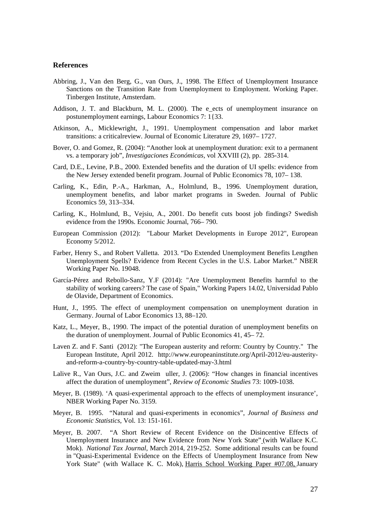#### **References**

- Abbring, J., Van den Berg, G., van Ours, J., 1998. The Effect of Unemployment Insurance Sanctions on the Transition Rate from Unemployment to Employment. Working Paper. Tinbergen Institute, Amsterdam.
- Addison, J. T. and Blackburn, M. L. (2000). The e\_ects of unemployment insurance on postunemployment earnings, Labour Economics 7: 1{33.
- Atkinson, A., Micklewright, J., 1991. Unemployment compensation and labor market transitions: a criticalreview. Journal of Economic Literature 29, 1697– 1727.
- Bover, O. and Gomez, R. (2004): "Another look at unemployment duration: exit to a permanent vs. a temporary job", *Investigaciones Económicas,* vol XXVIII (2)*,* pp. 285-314.
- Card, D.E., Levine, P.B., 2000. Extended benefits and the duration of UI spells: evidence from the New Jersey extended benefit program. Journal of Public Economics 78, 107– 138.
- Carling, K., Edin, P.-A., Harkman, A., Holmlund, B., 1996. Unemployment duration, unemployment benefits, and labor market programs in Sweden. Journal of Public Economics 59, 313–334.
- Carling, K., Holmlund, B., Vejsiu, A., 2001. Do benefit cuts boost job findings? Swedish evidence from the 1990s. Economic Journal, 766– 790.
- European Commission (2012): "Labour Market Developments in Europe 2012", European Economy 5/2012.
- Farber, Henry S., and Robert Valletta. 2013. "Do Extended Unemployment Benefits Lengthen Unemployment Spells? Evidence from Recent Cycles in the U.S. Labor Market." NBER Working Paper No. 19048.
- García-Pérez and Rebollo-Sanz, Y.F (2014): "Are Unemployment Benefits harmful to the stability of working careers? The case of Spain," Working Papers 14.02, Universidad Pablo de Olavide, Department of Economics.
- Hunt, J., 1995. The effect of unemployment compensation on unemployment duration in Germany. Journal of Labor Economics 13, 88–120.
- Katz, L., Meyer, B., 1990. The impact of the potential duration of unemployment benefits on the duration of unemployment. Journal of Public Economics 41, 45– 72.
- Laven Z. and F. Santi (2012): "The European austerity and reform: Country by Country." The European Institute, April 2012. http://www.europeaninstitute.org/April-2012/eu-austerityand-reform-a-country-by-country-table-updated-may-3.html
- Lalive R., Van Ours, J.C. and Zweim uller, J. (2006): "How changes in financial incentives affect the duration of unemployment", *Review of Economic Studies* 73: 1009-1038.
- Meyer, B. (1989). 'A quasi-experimental approach to the effects of unemployment insurance', NBER Working Paper No. 3159.
- Meyer, B. 1995. "Natural and quasi-experiments in economics", *Journal of Business and Economic Statistics*, Vol. 13: 151-161.
- Meyer, B. 2007. "A Short Review of Recent Evidence on the Disincentive Effects of Unemployment Insurance and New Evidence from New York State" (with Wallace K.C. Mok). *National Tax Journal*, March 2014, 219-252. Some additional results can be found in "Quasi-Experimental Evidence on the Effects of Unemployment Insurance from New York State" (with Wallace K. C. Mok), Harris School Working Paper #07.08, January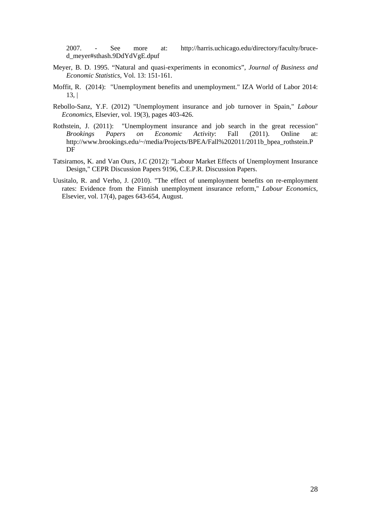2007. - See more at: http://harris.uchicago.edu/directory/faculty/bruced\_meyer#sthash.9DdYdVgE.dpuf

- Meyer, B. D. 1995. "Natural and quasi-experiments in economics", *Journal of Business and Economic Statistics*, Vol. 13: 151-161.
- Moffit, R. (2014): "Unemployment benefits and unemployment." IZA World of Labor 2014:  $13.1$
- Rebollo-Sanz, Y.F. (2012) "Unemployment insurance and job turnover in Spain," *Labour Economics*, Elsevier, vol. 19(3), pages 403-426.
- Rothstein, J. (2011): "Unemployment insurance and job search in the great recession" *Brookings Papers on Economic Activity*: Fall (2011). Online at: http://www.brookings.edu/~/media/Projects/BPEA/Fall%202011/2011b\_bpea\_rothstein.P DF
- Tatsiramos, K. and Van Ours, J.C (2012): "Labour Market Effects of Unemployment Insurance Design," CEPR Discussion Papers 9196, C.E.P.R. Discussion Papers.
- Uusitalo, R. and Verho, J. (2010). "The effect of unemployment benefits on re-employment rates: Evidence from the Finnish unemployment insurance reform," *Labour Economics*, Elsevier, vol. 17(4), pages 643-654, August.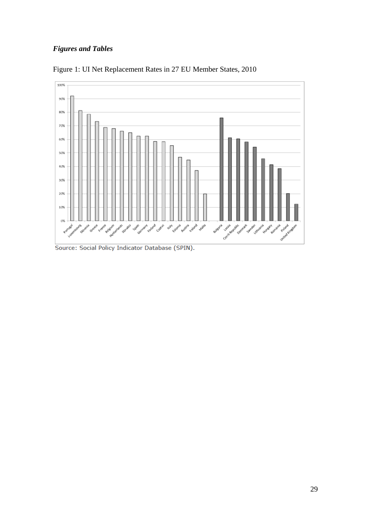### *Figures and Tables*



Figure 1: UI Net Replacement Rates in 27 EU Member States, 2010

Source: Social Policy Indicator Database (SPIN).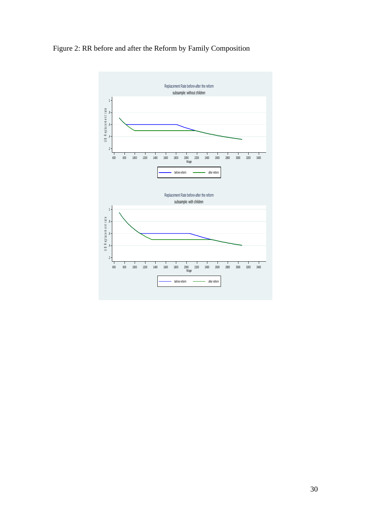## Figure 2: RR before and after the Reform by Family Composition

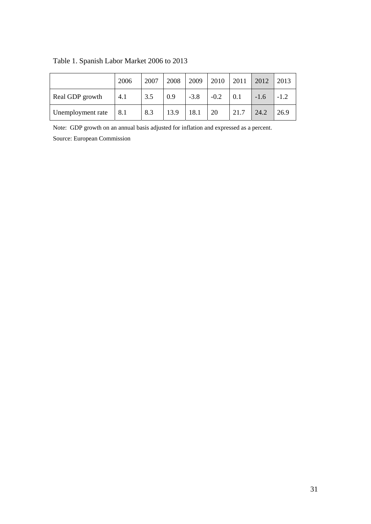|                   | 2006 | 2007 | 2008 | 2009   | $\boxed{2010}$ | $\begin{array}{c} \boxed{2011} \end{array}$ | 2012   | 2013   |
|-------------------|------|------|------|--------|----------------|---------------------------------------------|--------|--------|
| Real GDP growth   | 4.1  | 3.5  | 0.9  | $-3.8$ | $-0.2$         | 0.1                                         | $-1.6$ | $-1.2$ |
| Unemployment rate | 8.1  | 8.3  | 13.9 | 18.1   | 20             | 21.7                                        | 24.2   | 26.9   |

## Table 1. Spanish Labor Market 2006 to 2013

Note: GDP growth on an annual basis adjusted for inflation and expressed as a percent.

Source: European Commission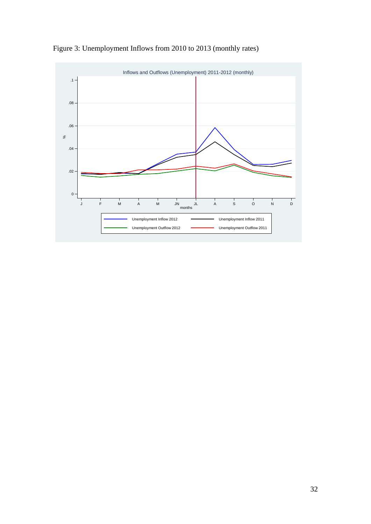

Figure 3: Unemployment Inflows from 2010 to 2013 (monthly rates)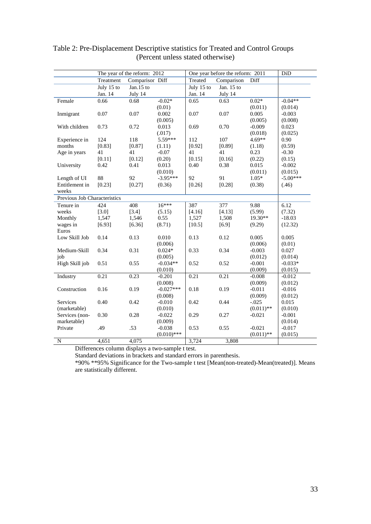|                              |            | The year of the reform: 2012 |               |            | One year before the reform: 2011 |              | DiD        |
|------------------------------|------------|------------------------------|---------------|------------|----------------------------------|--------------|------------|
|                              | Treatment  | Comparison Diff              |               | Treated    | Comparison                       | Diff         |            |
|                              | July 15 to | Jan. $15$ to                 |               | July 15 to | Jan. 15 to                       |              |            |
|                              | Jan. 14    | July 14                      |               | Jan. 14    | July 14                          |              |            |
| Female                       | 0.66       | 0.68                         | $-0.02*$      | 0.65       | 0.63                             | $0.02*$      | $-0.04**$  |
|                              |            |                              | (0.01)        |            |                                  | (0.011)      | (0.014)    |
| Inmigrant                    | 0.07       | 0.07                         | 0.002         | 0.07       | 0.07                             | 0.005        | $-0.003$   |
|                              |            |                              | (0.005)       |            |                                  | (0.005)      | (0.008)    |
| With children                | 0.73       | 0.72                         | 0.013         | 0.69       | 0.70                             | $-0.009$     | 0.023      |
|                              |            |                              | (.017)        |            |                                  | (0.018)      | (0.025)    |
| Experience in                | 124        | 118                          | 5.59***       | 112        | 107                              | $4.69**$     | 0.90       |
| months                       | [0.83]     | [0.87]                       | (1.11)        | [0.92]     | [0.89]                           | (1.18)       | (0.59)     |
| Age in years                 | 41         | 41                           | $-0.07$       | 41         | 41                               | 0.23         | $-0.30$    |
|                              | [0.11]     | [0.12]                       | (0.20)        | [0.15]     | [0.16]                           | (0.22)       | (0.15)     |
| University                   | 0.42       | 0.41                         | 0.013         | 0.40       | 0.38                             | 0.015        | $-0.002$   |
|                              |            |                              | (0.010)       |            |                                  | (0.011)      | (0.015)    |
| Length of UI                 | 88         | 92                           | $-3.95***$    | 92         | 91                               | $1.05*$      | $-5.00***$ |
| Entitlement in               | [0.23]     | [0.27]                       | (0.36)        | [0.26]     | [0.28]                           | (0.38)       | (.46)      |
| weeks                        |            |                              |               |            |                                  |              |            |
| Previous Job Characteristics |            |                              |               |            |                                  |              |            |
| Tenure in                    | 424        | 408                          | $16***$       | 387        | 377                              | 9.88         | 6.12       |
| weeks                        | [3.0]      | [3.4]                        | (5.15)        | [4.16]     | [4.13]                           | (5.99)       | (7.32)     |
| Monthly                      | 1,547      | 1,546                        | 0.55          | 1,527      | 1,508                            | $19.30**$    | $-18.03$   |
| wages in                     | [6.93]     | [6.36]                       | (8.71)        | [10.5]     | $[6.9]$                          | (9.29)       | (12.32)    |
| Euros                        |            |                              |               |            |                                  |              |            |
| Low Skill Job                | 0.14       | 0.13                         | 0.010         | 0.13       | 0.12                             | 0.005        | 0.005      |
|                              |            |                              | (0.006)       |            |                                  | (0.006)      | (0.01)     |
| Medium-Skill                 | 0.34       | 0.31                         | $0.024*$      | 0.33       | 0.34                             | $-0.003$     | 0.027      |
| job                          |            |                              | (0.005)       |            |                                  | (0.012)      | (0.014)    |
| High Skill job               | 0.51       | 0.55                         | $-0.034**$    | 0.52       | 0.52                             | $-0.001$     | $-0.033*$  |
|                              |            |                              | (0.010)       |            |                                  | (0.009)      | (0.015)    |
| Industry                     | 0.21       | 0.23                         | $-0.201$      | 0.21       | 0.21                             | $-0.008$     | $-0.012$   |
|                              |            |                              | (0.008)       |            |                                  | (0.009)      | (0.012)    |
| Construction                 | 0.16       | 0.19                         | $-0.027***$   | 0.18       | 0.19                             | $-0.011$     | $-0.016$   |
|                              |            |                              | (0.008)       |            |                                  | (0.009)      | (0.012)    |
| Services                     | 0.40       | 0.42                         | $-0.010$      | 0.42       | 0.44                             | $-.025$      | 0.015      |
| (marketable)                 |            |                              | (0.010)       |            |                                  | $(0.011)$ ** | (0.010)    |
| Services (non-               | 0.30       | 0.28                         | $-0.022$      | 0.29       | 0.27                             | $-0.021$     | $-0.001$   |
| marketable)                  |            |                              | (0.009)       |            |                                  |              | (0.014)    |
| Private                      | .49        | .53                          | $-0.038$      | 0.53       | 0.55                             | $-0.021$     | $-0.017$   |
|                              |            |                              | $(0.010)$ *** |            |                                  | $(0.011)$ ** | (0.015)    |
| ${\bf N}$                    | 4,651      | 4,075                        |               | 3,724      | 3,808                            |              |            |

### Table 2: Pre-Displacement Descriptive statistics for Treated and Control Groups (Percent unless stated otherwise)

Differences column displays a two-sample t test.

Standard deviations in brackets and standard errors in parenthesis.

\*90% \*\*95% Significance for the Two-sample t test [Mean(non-treated)-Mean(treated)]. Means are statistically different.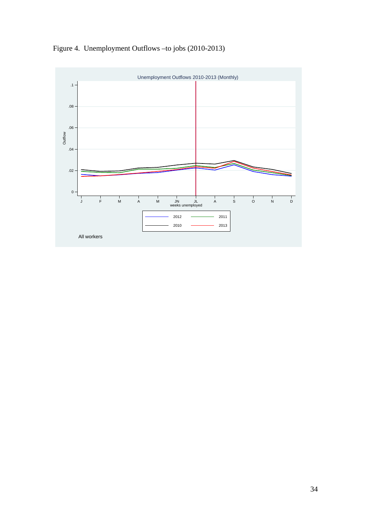Figure 4. Unemployment Outflows –to jobs (2010-2013)

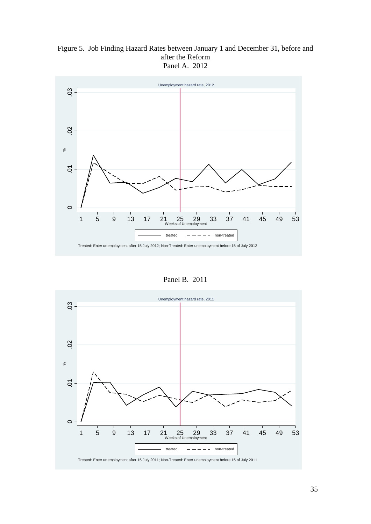Figure 5. Job Finding Hazard Rates between January 1 and December 31, before and after the Reform Panel A. 2012



Panel B. 2011

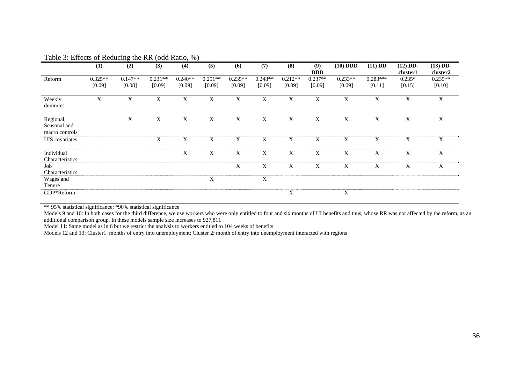|                                             | (1)       | (2)       | (3)       | (4)       | (5)       | (6)       | (7)       | (8)       | (9)<br><b>DDD</b> | $(10)$ DDD | $(11)$ DD  | $(12)$ DD-<br>cluster1 | $(13)$ DD-<br>cluster2 |
|---------------------------------------------|-----------|-----------|-----------|-----------|-----------|-----------|-----------|-----------|-------------------|------------|------------|------------------------|------------------------|
| Reform                                      | $0.325**$ | $0.147**$ | $0.231**$ | $0.240**$ | $0.251**$ | $0.235**$ | $0.248**$ | $0.212**$ | $0.237**$         | $0.233**$  | $0.283***$ | $0.235*$               | $0.235**$              |
|                                             | [0.09]    | [0.08]    | [0.09]    | [0.09]    | [0.09]    | [0.09]    | [0.09]    | [0.09]    | [0.09]            | [0.09]     | [0.11]     | [0.15]                 | [0.10]                 |
| Weekly<br>dummies                           | X         | X         | X         | X         | X         | X         | X         | X         | X                 | X          | X          | $\mathbf X$            | X                      |
| Regional,<br>Seasonal and<br>macro controls |           | X         | X         | X         | X         | X         | X         | X         | X                 | X          | X          | $\mathbf X$            | $\mathbf X$            |
| UIS covariates                              |           |           | X         | X         | X         | X         | X         | X         | X                 | X          | X          | X                      | X                      |
| Individual                                  |           |           |           | X         | X         | X         | X         | X         | X                 | X          | X          | X                      | X                      |
| Characteristics                             |           |           |           |           |           |           |           |           |                   |            |            |                        |                        |
| Job                                         |           |           |           |           |           | X         | X         | X         | X                 | X          | X          | $\mathbf X$            | X                      |
| Characteristics                             |           |           |           |           |           |           |           |           |                   |            |            |                        |                        |
| Wages and                                   |           |           |           |           | X         |           | X         |           |                   |            |            |                        |                        |
| Tenure                                      |           |           |           |           |           |           |           |           |                   |            |            |                        |                        |
| GDP*Reform                                  |           |           |           |           |           |           |           | X         |                   | X          |            |                        |                        |

Table 3: Effects of Reducing the RR (odd Ratio, %)

\*\* 95% statistical significance; \*90% statistical significance

Models 9 and 10: In both cases for the third difference, we use workers who were only entitled to four and six months of UI benefits and thus, whose RR was not affected by the reform, as an additional comparison group. In these models sample size increases to 927,811

Model 11: Same model as in 6 but we restrict the analysis to workers entitled to 104 weeks of benefits.

Models 12 and 13: Cluster1 months of entry into unemployment; Cluster 2: month of entry into unemployment interacted with regions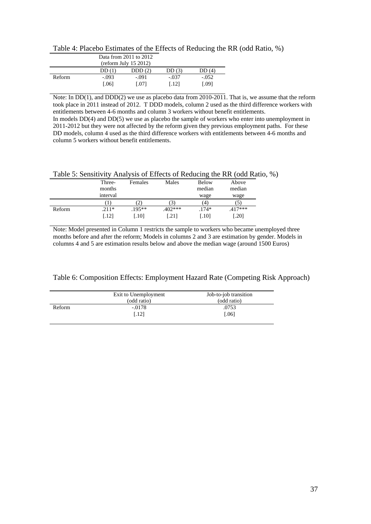| Table 4: Placebo Estimates of the Effects of Reducing the RR (odd Ratio, %) |  |  |  |
|-----------------------------------------------------------------------------|--|--|--|
|                                                                             |  |  |  |

|        | Data from 2011 to 2012<br>$r = 152012$ |                 |                  |                  |
|--------|----------------------------------------|-----------------|------------------|------------------|
|        | DD(1)                                  | DDD(2)          | DD(3)            | DD(4)            |
| Reform | $-.093$<br>0.061                       | $-.091$<br>L071 | $-.037$<br>[.12] | $-.052$<br>[.09] |

Note: In DD(1), and DDD(2) we use as placebo data from 2010-2011. That is, we assume that the reform took place in 2011 instead of 2012. T DDD models, column 2 used as the third difference workers with entitlements between 4-6 months and column 3 workers without benefit entitlements.

In models  $DD(4)$  and  $DD(5)$  we use as placebo the sample of workers who enter into unemployment in 2011-2012 but they were not affected by the reform given they previous employment paths. For these DD models, column 4 used as the third difference workers with entitlements between 4-6 months and column 5 workers without benefit entitlements.

| Table 5: Sensitivity Analysis of Effects of Reducing the RR (odd Ratio, %) |  |  |  |
|----------------------------------------------------------------------------|--|--|--|
|                                                                            |  |  |  |

|        | Three-   | Females  | Males     | <b>Below</b> | Above   |  |
|--------|----------|----------|-----------|--------------|---------|--|
|        | months   |          |           | median       | median  |  |
|        | interval |          |           | wage         | wage    |  |
|        |          | 21       |           | ΄4           |         |  |
| Reform | $.211*$  | $.195**$ | $.402***$ | $.174*$      | .417*** |  |
|        | [.12]    | [.10]    | .211      | .101         | [.20]   |  |

Note: Model presented in Column 1 restricts the sample to workers who became unemployed three months before and after the reform; Models in columns 2 and 3 are estimation by gender. Models in columns 4 and 5 are estimation results below and above the median wage (around 1500 Euros)

Table 6: Composition Effects: Employment Hazard Rate (Competing Risk Approach)

|        | Exit to Unemployment<br>(odd ratio) | Job-to-job transition<br>(odd ratio) |
|--------|-------------------------------------|--------------------------------------|
| Reform | $-.0178$                            | .0753                                |
|        | [.12]                               | [.06]                                |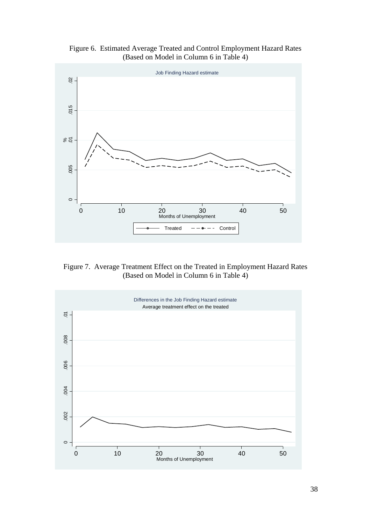Figure 6. Estimated Average Treated and Control Employment Hazard Rates (Based on Model in Column 6 in Table 4)



Figure 7. Average Treatment Effect on the Treated in Employment Hazard Rates (Based on Model in Column 6 in Table 4)

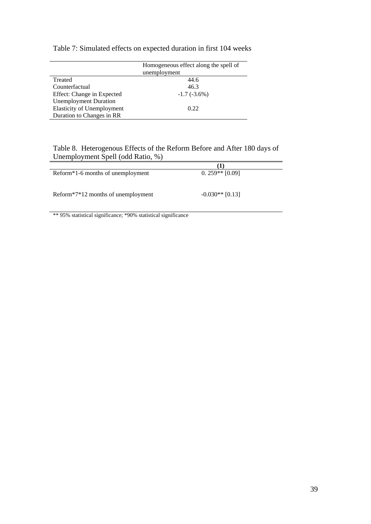|                                   | Homogeneous effect along the spell of |
|-----------------------------------|---------------------------------------|
|                                   | unemployment                          |
| Treated                           | 44.6                                  |
| Counterfactual                    | 46.3                                  |
| Effect: Change in Expected        | $-1.7(-3.6%)$                         |
| <b>Unemployment Duration</b>      |                                       |
| <b>Elasticity of Unemployment</b> | 0.22                                  |
| Duration to Changes in RR         |                                       |

### Table 7: Simulated effects on expected duration in first 104 weeks

Table 8. Heterogenous Effects of the Reform Before and After 180 days of Unemployment Spell (odd Ratio, %)

|                                                | (1)               |
|------------------------------------------------|-------------------|
| Reform <sup>*</sup> 1-6 months of unemployment | $0.259**$ [0.09]  |
|                                                |                   |
| Reform*7*12 months of unemployment             | $-0.030**$ [0.13] |

\*\* 95% statistical significance; \*90% statistical significance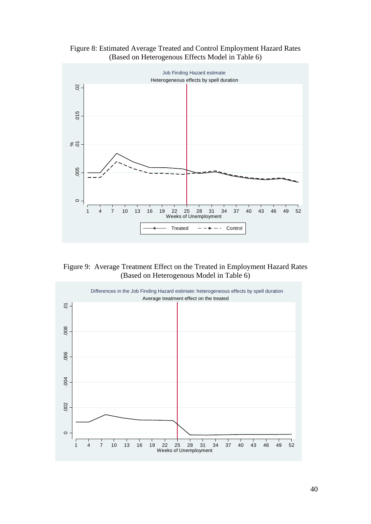Figure 8: Estimated Average Treated and Control Employment Hazard Rates (Based on Heterogenous Effects Model in Table 6)



Figure 9: Average Treatment Effect on the Treated in Employment Hazard Rates (Based on Heterogenous Model in Table 6)

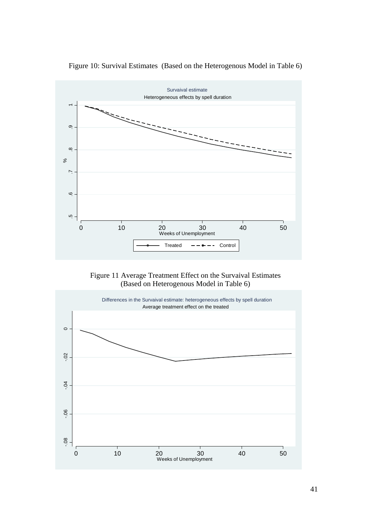

Figure 10: Survival Estimates (Based on the Heterogenous Model in Table 6)

### Figure 11 Average Treatment Effect on the Survaival Estimates (Based on Heterogenous Model in Table 6)

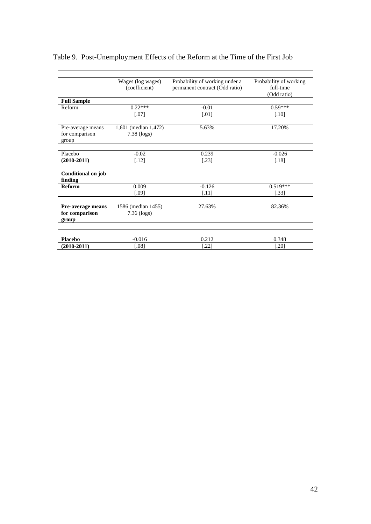|                               | Wages (log wages)<br>(coefficient) | Probability of working under a<br>permanent contract (Odd ratio) | Probability of working<br>full-time |
|-------------------------------|------------------------------------|------------------------------------------------------------------|-------------------------------------|
|                               |                                    |                                                                  | (Odd ratio)                         |
| <b>Full Sample</b>            |                                    |                                                                  |                                     |
| Reform                        | $0.22***$                          | $-0.01$                                                          | $0.59***$                           |
|                               | $[.07]$                            | $\lceil .01 \rceil$                                              | $[.10]$                             |
| Pre-average means             | 1,601 (median 1,472)               | 5.63%                                                            | 17.20%                              |
| for comparison<br>group       | 7.38 (logs)                        |                                                                  |                                     |
| Placebo                       | $-0.02$                            | 0.239                                                            | $-0.026$                            |
| $(2010-2011)$                 | $[.12]$                            | $[.23]$                                                          | $[.18]$                             |
| Conditional on job<br>finding |                                    |                                                                  |                                     |
| Reform                        | 0.009                              | $-0.126$                                                         | $0.519***$                          |
|                               | $[.09]$                            | $[.11]$                                                          | $[.33]$                             |
| <b>Pre-average means</b>      | 1586 (median 1455)                 | 27.63%                                                           | 82.36%                              |
| for comparison<br>group       | $7.36$ (logs)                      |                                                                  |                                     |
|                               |                                    |                                                                  |                                     |
| <b>Placebo</b>                | $-0.016$                           | 0.212                                                            | 0.348                               |
| $(2010-2011)$                 | $[.08]$                            | [.22]                                                            | $[.20]$                             |

## Table 9. Post-Unemployment Effects of the Reform at the Time of the First Job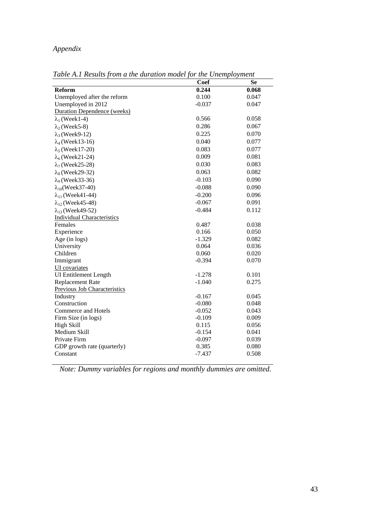## *Appendix*

|                                    | <b>Coef</b> | <b>Se</b> |
|------------------------------------|-------------|-----------|
|                                    |             |           |
| <b>Reform</b>                      | 0.244       | 0.068     |
| Unemployed after the reform        | 0.100       | 0.047     |
| Unemployed in 2012                 | $-0.037$    | 0.047     |
| <b>Duration Dependence (weeks)</b> |             |           |
| $\lambda_1$ (Week1-4)              | 0.566       | 0.058     |
| $\lambda_2$ (Week5-8)              | 0.286       | 0.067     |
| $\lambda_3$ (Week9-12)             | 0.225       | 0.070     |
| $\lambda_4$ (Week13-16)            | 0.040       | 0.077     |
| $\lambda_5$ (Week17-20)            | 0.083       | 0.077     |
| $\lambda_6$ (Week21-24)            | 0.009       | 0.081     |
| $\lambda$ <sub>7</sub> (Week25-28) | 0.030       | 0.083     |
| $\lambda_8$ (Week29-32)            | 0.063       | 0.082     |
| $\lambda_9$ (Week33-36)            | $-0.103$    | 0.090     |
| $\lambda_{10}$ (Week37-40)         | $-0.088$    | 0.090     |
| $\lambda_{11}$ (Week41-44)         | $-0.200$    | 0.096     |
| $\lambda_{12}$ (Week45-48)         | $-0.067$    | 0.091     |
| $\lambda_{13}$ (Week49-52)         | $-0.484$    | 0.112     |
| <b>Individual Characteristics</b>  |             |           |
| Females                            | 0.487       | 0.038     |
| Experience                         | 0.166       | 0.050     |
| Age (in logs)                      | $-1.329$    | 0.082     |
| University                         | 0.064       | 0.036     |
| Children                           | 0.060       | 0.020     |
| Immigrant                          | $-0.394$    | 0.070     |
| UI covariates                      |             |           |
| <b>UI</b> Entitlement Length       | $-1.278$    | 0.101     |
| <b>Replacement Rate</b>            | $-1.040$    | 0.275     |
| Previous Job Characteristics       |             |           |
| Industry                           | $-0.167$    | 0.045     |
| Construction                       | $-0.080$    | 0.048     |
| Commerce and Hotels                | $-0.052$    | 0.043     |
| Firm Size (in logs)                | $-0.109$    | 0.009     |
| High Skill                         | 0.115       | 0.056     |
| Medium Skill                       | $-0.154$    | 0.041     |
| Private Firm                       | $-0.097$    | 0.039     |
| GDP growth rate (quarterly)        | 0.385       | 0.080     |
| Constant                           | $-7.437$    | 0.508     |
|                                    |             |           |

*Table A.1 Results from a the duration model for the Unemployment* 

*Note: Dummy variables for regions and monthly dummies are omitted.*